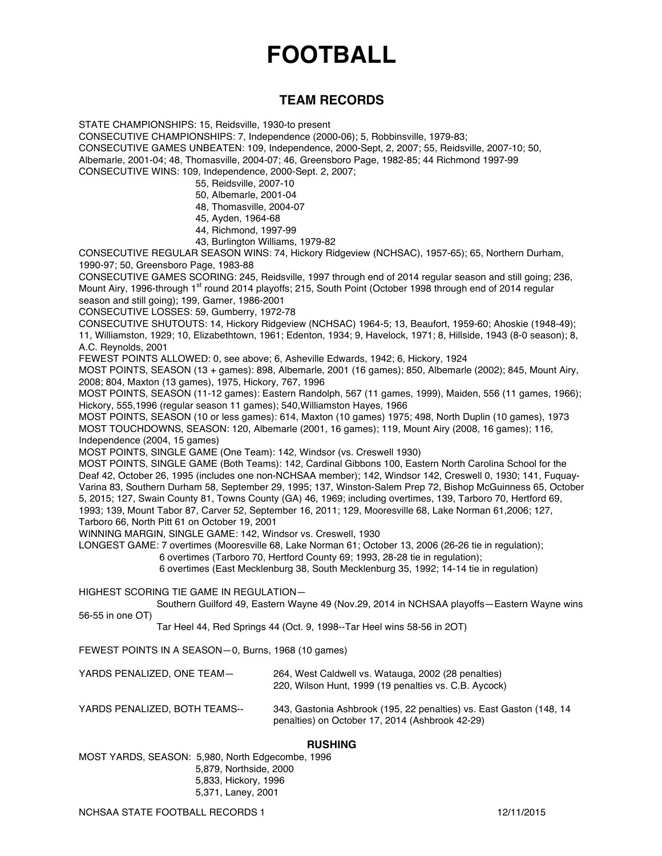# **FOOTBALL**

# **TEAM RECORDS**

STATE CHAMPIONSHIPS: 15, Reidsville, 1930-to present

CONSECUTIVE CHAMPIONSHIPS: 7, Independence (2000-06); 5, Robbinsville, 1979-83; CONSECUTIVE GAMES UNBEATEN: 109, Independence, 2000-Sept, 2, 2007; 55, Reidsville, 2007-10; 50,

Albemarle, 2001-04; 48, Thomasville, 2004-07; 46, Greensboro Page, 1982-85; 44 Richmond 1997-99 CONSECUTIVE WINS: 109, Independence, 2000-Sept. 2, 2007;

- 55, Reidsville, 2007-10
- 50, Albemarle, 2001-04
- 48, Thomasville, 2004-07
- 45, Ayden, 1964-68
- 44, Richmond, 1997-99
- 43, Burlington Williams, 1979-82

CONSECUTIVE REGULAR SEASON WINS: 74, Hickory Ridgeview (NCHSAC), 1957-65); 65, Northern Durham, 1990-97; 50, Greensboro Page, 1983-88

CONSECUTIVE GAMES SCORING: 245, Reidsville, 1997 through end of 2014 regular season and still going; 236, Mount Airy, 1996-through 1<sup>st</sup> round 2014 playoffs; 215, South Point (October 1998 through end of 2014 regular season and still going); 199, Garner, 1986-2001

CONSECUTIVE LOSSES: 59, Gumberry, 1972-78

CONSECUTIVE SHUTOUTS: 14, Hickory Ridgeview (NCHSAC) 1964-5; 13, Beaufort, 1959-60; Ahoskie (1948-49); 11, Williamston, 1929; 10, Elizabethtown, 1961; Edenton, 1934; 9, Havelock, 1971; 8, Hillside, 1943 (8-0 season); 8, A.C. Reynolds, 2001

FEWEST POINTS ALLOWED: 0, see above; 6, Asheville Edwards, 1942; 6, Hickory, 1924

MOST POINTS, SEASON (13 + games): 898, Albemarle, 2001 (16 games); 850, Albemarle (2002); 845, Mount Airy, 2008; 804, Maxton (13 games), 1975, Hickory, 767, 1996

MOST POINTS, SEASON (11-12 games): Eastern Randolph, 567 (11 games, 1999), Maiden, 556 (11 games, 1966); Hickory, 555,1996 (regular season 11 games); 540,Williamston Hayes, 1966

MOST POINTS, SEASON (10 or less games): 614, Maxton (10 games) 1975; 498, North Duplin (10 games), 1973 MOST TOUCHDOWNS, SEASON: 120, Albemarle (2001, 16 games); 119, Mount Airy (2008, 16 games); 116, Independence (2004, 15 games)

MOST POINTS, SINGLE GAME (One Team): 142, Windsor (vs. Creswell 1930)

MOST POINTS, SINGLE GAME (Both Teams): 142, Cardinal Gibbons 100, Eastern North Carolina School for the Deaf 42, October 26, 1995 (includes one non-NCHSAA member); 142, Windsor 142, Creswell 0, 1930; 141, Fuquay-Varina 83, Southern Durham 58, September 29, 1995; 137, Winston-Salem Prep 72, Bishop McGuinness 65, October 5, 2015; 127, Swain County 81, Towns County (GA) 46, 1969; including overtimes, 139, Tarboro 70, Hertford 69, 1993; 139, Mount Tabor 87, Carver 52, September 16, 2011; 129, Mooresville 68, Lake Norman 61,2006; 127, Tarboro 66, North Pitt 61 on October 19, 2001

WINNING MARGIN, SINGLE GAME: 142, Windsor vs. Creswell, 1930

LONGEST GAME: 7 overtimes (Mooresville 68, Lake Norman 61; October 13, 2006 (26-26 tie in regulation);

6 overtimes (Tarboro 70, Hertford County 69; 1993, 28-28 tie in regulation);

6 overtimes (East Mecklenburg 38, South Mecklenburg 35, 1992; 14-14 tie in regulation)

HIGHEST SCORING TIE GAME IN REGULATION—

Southern Guilford 49, Eastern Wayne 49 (Nov.29, 2014 in NCHSAA playoffs—Eastern Wayne wins 56-55 in one OT)

Tar Heel 44, Red Springs 44 (Oct. 9, 1998--Tar Heel wins 58-56 in 2OT)

FEWEST POINTS IN A SEASON—0, Burns, 1968 (10 games)

| YARDS PENALIZED. ONE TEAM- | 264, West Caldwell vs. Watauga, 2002 (28 penalties)<br>220, Wilson Hunt, 1999 (19 penalties vs. C.B. Aycock) |  |  |  |
|----------------------------|--------------------------------------------------------------------------------------------------------------|--|--|--|
| VARDS PENALIZED ROTH TEAMS | 343 Gestonia Ashbroak (195, 22 nonelties) vs. East Geston (14)                                               |  |  |  |

YARDS PENALIZED, BOTH TEAMS-- 343, Gastonia Ashbrook (195, 22 penalties) vs. East Gaston (148, 14 penalties) on October 17, 2014 (Ashbrook 42-29)

#### **RUSHING**

MOST YARDS, SEASON: 5,980, North Edgecombe, 1996 5,879, Northside, 2000 5,833, Hickory, 1996 5,371, Laney, 2001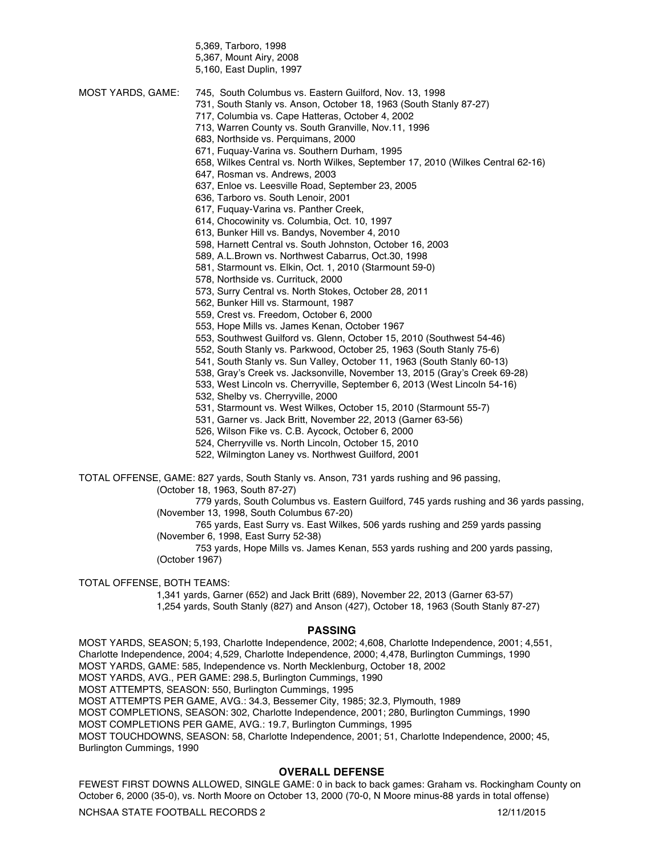5,369, Tarboro, 1998 5,367, Mount Airy, 2008

5,160, East Duplin, 1997

- 731, South Stanly vs. Anson, October 18, 1963 (South Stanly 87-27)
- 717, Columbia vs. Cape Hatteras, October 4, 2002
- 713, Warren County vs. South Granville, Nov.11, 1996
- 683, Northside vs. Perquimans, 2000
- 671, Fuquay-Varina vs. Southern Durham, 1995
- 658, Wilkes Central vs. North Wilkes, September 17, 2010 (Wilkes Central 62-16)
- 647, Rosman vs. Andrews, 2003
- 637, Enloe vs. Leesville Road, September 23, 2005
- 636, Tarboro vs. South Lenoir, 2001
- 617, Fuquay-Varina vs. Panther Creek,
- 614, Chocowinity vs. Columbia, Oct. 10, 1997
- 613, Bunker Hill vs. Bandys, November 4, 2010
- 598, Harnett Central vs. South Johnston, October 16, 2003
- 589, A.L.Brown vs. Northwest Cabarrus, Oct.30, 1998
- 581, Starmount vs. Elkin, Oct. 1, 2010 (Starmount 59-0)
- 578, Northside vs. Currituck, 2000
- 573, Surry Central vs. North Stokes, October 28, 2011
- 562, Bunker Hill vs. Starmount, 1987
- 559, Crest vs. Freedom, October 6, 2000
- 553, Hope Mills vs. James Kenan, October 1967
- 553, Southwest Guilford vs. Glenn, October 15, 2010 (Southwest 54-46)
- 552, South Stanly vs. Parkwood, October 25, 1963 (South Stanly 75-6)
- 541, South Stanly vs. Sun Valley, October 11, 1963 (South Stanly 60-13)
- 538, Gray's Creek vs. Jacksonville, November 13, 2015 (Gray's Creek 69-28)
- 533, West Lincoln vs. Cherryville, September 6, 2013 (West Lincoln 54-16)
- 532, Shelby vs. Cherryville, 2000
- 531, Starmount vs. West Wilkes, October 15, 2010 (Starmount 55-7)
- 531, Garner vs. Jack Britt, November 22, 2013 (Garner 63-56)
- 526, Wilson Fike vs. C.B. Aycock, October 6, 2000
- 524, Cherryville vs. North Lincoln, October 15, 2010
- 522, Wilmington Laney vs. Northwest Guilford, 2001

TOTAL OFFENSE, GAME: 827 yards, South Stanly vs. Anson, 731 yards rushing and 96 passing,

(October 18, 1963, South 87-27)

779 yards, South Columbus vs. Eastern Guilford, 745 yards rushing and 36 yards passing, (November 13, 1998, South Columbus 67-20)

765 yards, East Surry vs. East Wilkes, 506 yards rushing and 259 yards passing (November 6, 1998, East Surry 52-38)

753 yards, Hope Mills vs. James Kenan, 553 yards rushing and 200 yards passing, (October 1967)

#### TOTAL OFFENSE, BOTH TEAMS:

1,341 yards, Garner (652) and Jack Britt (689), November 22, 2013 (Garner 63-57) 1,254 yards, South Stanly (827) and Anson (427), October 18, 1963 (South Stanly 87-27)

#### **PASSING**

MOST YARDS, SEASON; 5,193, Charlotte Independence, 2002; 4,608, Charlotte Independence, 2001; 4,551, Charlotte Independence, 2004; 4,529, Charlotte Independence, 2000; 4,478, Burlington Cummings, 1990 MOST YARDS, GAME: 585, Independence vs. North Mecklenburg, October 18, 2002 MOST YARDS, AVG., PER GAME: 298.5, Burlington Cummings, 1990 MOST ATTEMPTS, SEASON: 550, Burlington Cummings, 1995 MOST ATTEMPTS PER GAME, AVG.: 34.3, Bessemer City, 1985; 32.3, Plymouth, 1989 MOST COMPLETIONS, SEASON: 302, Charlotte Independence, 2001; 280, Burlington Cummings, 1990 MOST COMPLETIONS PER GAME, AVG.: 19.7, Burlington Cummings, 1995 MOST TOUCHDOWNS, SEASON: 58, Charlotte Independence, 2001; 51, Charlotte Independence, 2000; 45, Burlington Cummings, 1990

#### **OVERALL DEFENSE**

FEWEST FIRST DOWNS ALLOWED, SINGLE GAME: 0 in back to back games: Graham vs. Rockingham County on October 6, 2000 (35-0), vs. North Moore on October 13, 2000 (70-0, N Moore minus-88 yards in total offense)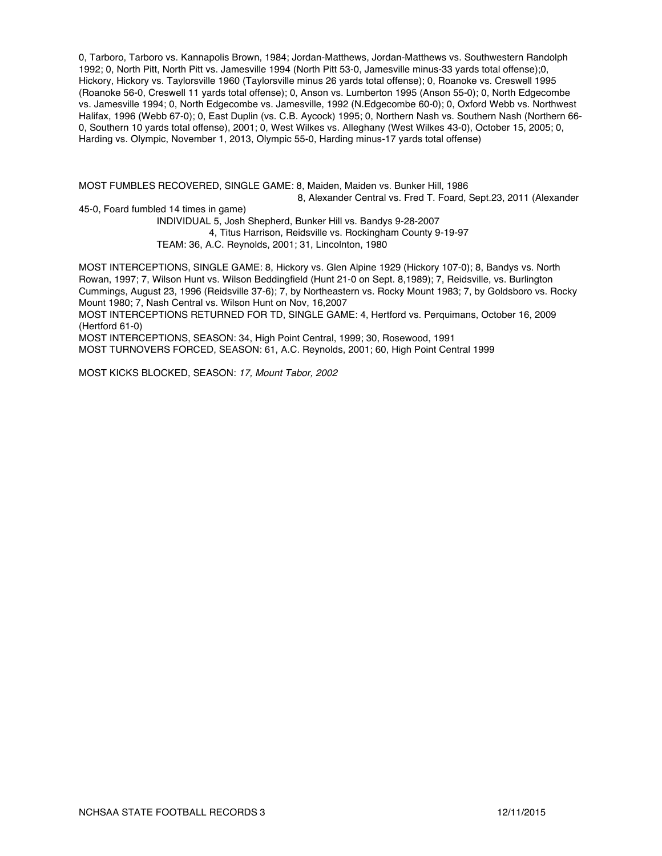0, Tarboro, Tarboro vs. Kannapolis Brown, 1984; Jordan-Matthews, Jordan-Matthews vs. Southwestern Randolph 1992; 0, North Pitt, North Pitt vs. Jamesville 1994 (North Pitt 53-0, Jamesville minus-33 yards total offense);0, Hickory, Hickory vs. Taylorsville 1960 (Taylorsville minus 26 yards total offense); 0, Roanoke vs. Creswell 1995 (Roanoke 56-0, Creswell 11 yards total offense); 0, Anson vs. Lumberton 1995 (Anson 55-0); 0, North Edgecombe vs. Jamesville 1994; 0, North Edgecombe vs. Jamesville, 1992 (N.Edgecombe 60-0); 0, Oxford Webb vs. Northwest Halifax, 1996 (Webb 67-0); 0, East Duplin (vs. C.B. Aycock) 1995; 0, Northern Nash vs. Southern Nash (Northern 66- 0, Southern 10 yards total offense), 2001; 0, West Wilkes vs. Alleghany (West Wilkes 43-0), October 15, 2005; 0, Harding vs. Olympic, November 1, 2013, Olympic 55-0, Harding minus-17 yards total offense)

MOST FUMBLES RECOVERED, SINGLE GAME: 8, Maiden, Maiden vs. Bunker Hill, 1986 8, Alexander Central vs. Fred T. Foard, Sept.23, 2011 (Alexander

45-0, Foard fumbled 14 times in game) INDIVIDUAL 5, Josh Shepherd, Bunker Hill vs. Bandys 9-28-2007 4, Titus Harrison, Reidsville vs. Rockingham County 9-19-97 TEAM: 36, A.C. Reynolds, 2001; 31, Lincolnton, 1980

MOST INTERCEPTIONS, SINGLE GAME: 8, Hickory vs. Glen Alpine 1929 (Hickory 107-0); 8, Bandys vs. North Rowan, 1997; 7, Wilson Hunt vs. Wilson Beddingfield (Hunt 21-0 on Sept. 8,1989); 7, Reidsville, vs. Burlington Cummings, August 23, 1996 (Reidsville 37-6); 7, by Northeastern vs. Rocky Mount 1983; 7, by Goldsboro vs. Rocky Mount 1980; 7, Nash Central vs. Wilson Hunt on Nov, 16,2007

MOST INTERCEPTIONS RETURNED FOR TD, SINGLE GAME: 4, Hertford vs. Perquimans, October 16, 2009 (Hertford 61-0)

MOST INTERCEPTIONS, SEASON: 34, High Point Central, 1999; 30, Rosewood, 1991

MOST TURNOVERS FORCED, SEASON: 61, A.C. Reynolds, 2001; 60, High Point Central 1999

MOST KICKS BLOCKED, SEASON: *17, Mount Tabor, 2002*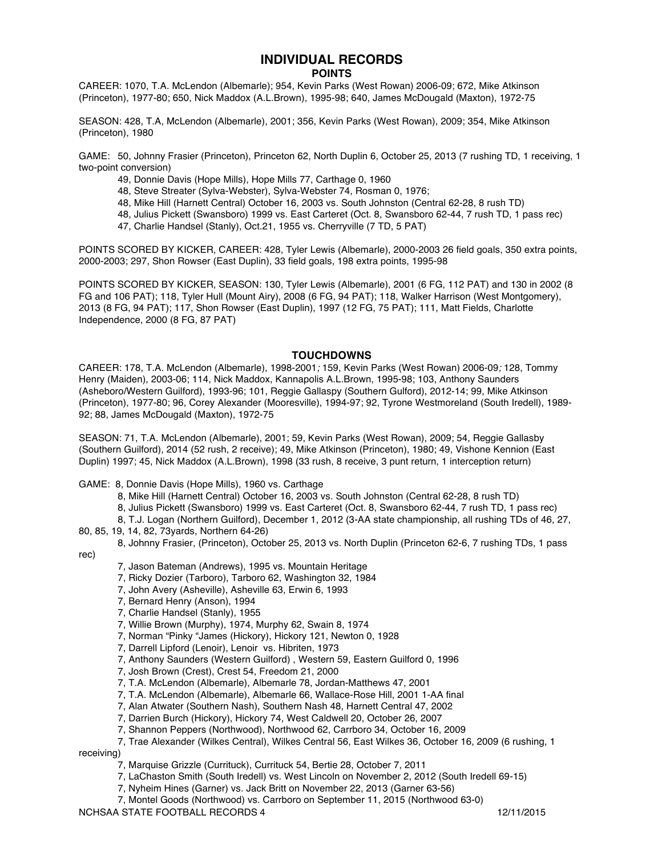# **INDIVIDUAL RECORDS**

#### **POINTS**

CAREER: 1070, T.A. McLendon (Albemarle); 954, Kevin Parks (West Rowan) 2006-09; 672, Mike Atkinson (Princeton), 1977-80; 650, Nick Maddox (A.L.Brown), 1995-98; 640, James McDougald (Maxton), 1972-75

SEASON: 428, T.A, McLendon (Albemarle), 2001; 356, Kevin Parks (West Rowan), 2009; 354, Mike Atkinson (Princeton), 1980

GAME: 50, Johnny Frasier (Princeton), Princeton 62, North Duplin 6, October 25, 2013 (7 rushing TD, 1 receiving, 1 two-point conversion)

- 49, Donnie Davis (Hope Mills), Hope Mills 77, Carthage 0, 1960
- 48, Steve Streater (Sylva-Webster), Sylva-Webster 74, Rosman 0, 1976;
- 48, Mike Hill (Harnett Central) October 16, 2003 vs. South Johnston (Central 62-28, 8 rush TD)
- 48, Julius Pickett (Swansboro) 1999 vs. East Carteret (Oct. 8, Swansboro 62-44, 7 rush TD, 1 pass rec)
- 47, Charlie Handsel (Stanly), Oct.21, 1955 vs. Cherryville (7 TD, 5 PAT)

POINTS SCORED BY KICKER, CAREER: 428, Tyler Lewis (Albemarle), 2000-2003 26 field goals, 350 extra points, 2000-2003; 297, Shon Rowser (East Duplin), 33 field goals, 198 extra points, 1995-98

POINTS SCORED BY KICKER, SEASON: 130, Tyler Lewis (Albemarle), 2001 (6 FG, 112 PAT) and 130 in 2002 (8 FG and 106 PAT); 118, Tyler Hull (Mount Airy), 2008 (6 FG, 94 PAT); 118, Walker Harrison (West Montgomery), 2013 (8 FG, 94 PAT); 117, Shon Rowser (East Duplin), 1997 (12 FG, 75 PAT); 111, Matt Fields, Charlotte Independence, 2000 (8 FG, 87 PAT)

#### **TOUCHDOWNS**

CAREER: 178, T.A. McLendon (Albemarle), 1998-2001*;* 159, Kevin Parks (West Rowan) 2006-09*;* 128, Tommy Henry (Maiden), 2003-06; 114, Nick Maddox, Kannapolis A.L.Brown, 1995-98; 103, Anthony Saunders (Asheboro/Western Guilford), 1993-96; 101, Reggie Gallaspy (Southern Gulford), 2012-14; 99, Mike Atkinson (Princeton), 1977-80; 96, Corey Alexander (Mooresville), 1994-97; 92, Tyrone Westmoreland (South Iredell), 1989- 92; 88, James McDougald (Maxton), 1972-75

SEASON: 71, T.A. McLendon (Albemarle), 2001; 59, Kevin Parks (West Rowan), 2009; 54, Reggie Gallasby (Southern Guilford), 2014 (52 rush, 2 receive); 49, Mike Atkinson (Princeton), 1980; 49, Vishone Kennion (East Duplin) 1997; 45, Nick Maddox (A.L.Brown), 1998 (33 rush, 8 receive, 3 punt return, 1 interception return)

GAME: 8, Donnie Davis (Hope Mills), 1960 vs. Carthage

- 8, Mike Hill (Harnett Central) October 16, 2003 vs. South Johnston (Central 62-28, 8 rush TD)
- 8, Julius Pickett (Swansboro) 1999 vs. East Carteret (Oct. 8, Swansboro 62-44, 7 rush TD, 1 pass rec)
- 8, T.J. Logan (Northern Guilford), December 1, 2012 (3-AA state championship, all rushing TDs of 46, 27,
- 80, 85, 19, 14, 82, 73yards, Northern 64-26)
- 8, Johnny Frasier, (Princeton), October 25, 2013 vs. North Duplin (Princeton 62-6, 7 rushing TDs, 1 pass rec)
	- 7, Jason Bateman (Andrews), 1995 vs. Mountain Heritage
	- 7, Ricky Dozier (Tarboro), Tarboro 62, Washington 32, 1984
	- 7, John Avery (Asheville), Asheville 63, Erwin 6, 1993
	- 7, Bernard Henry (Anson), 1994
	- 7, Charlie Handsel (Stanly), 1955
	- 7, Willie Brown (Murphy), 1974, Murphy 62, Swain 8, 1974
	- 7, Norman "Pinky "James (Hickory), Hickory 121, Newton 0, 1928
	- 7, Darrell Lipford (Lenoir), Lenoir vs. Hibriten, 1973
	- 7, Anthony Saunders (Western Guilford) , Western 59, Eastern Guilford 0, 1996
	- 7, Josh Brown (Crest), Crest 54, Freedom 21, 2000
	- 7, T.A. McLendon (Albemarle), Albemarle 78, Jordan-Matthews 47, 2001
	- 7, T.A. McLendon (Albemarle), Albemarle 66, Wallace-Rose Hill, 2001 1-AA final
	- 7, Alan Atwater (Southern Nash), Southern Nash 48, Harnett Central 47, 2002
	- 7, Darrien Burch (Hickory), Hickory 74, West Caldwell 20, October 26, 2007
	- 7, Shannon Peppers (Northwood), Northwood 62, Carrboro 34, October 16, 2009
- 7, Trae Alexander (Wilkes Central), Wilkes Central 56, East Wilkes 36, October 16, 2009 (6 rushing, 1 receiving)
	- 7, Marquise Grizzle (Currituck), Currituck 54, Bertie 28, October 7, 2011
	- 7, LaChaston Smith (South Iredell) vs. West Lincoln on November 2, 2012 (South Iredell 69-15)
	- 7, Nyheim Hines (Garner) vs. Jack Britt on November 22, 2013 (Garner 63-56)
- NCHSAA STATE FOOTBALL RECORDS 4 12/11/2015 7, Montel Goods (Northwood) vs. Carrboro on September 11, 2015 (Northwood 63-0)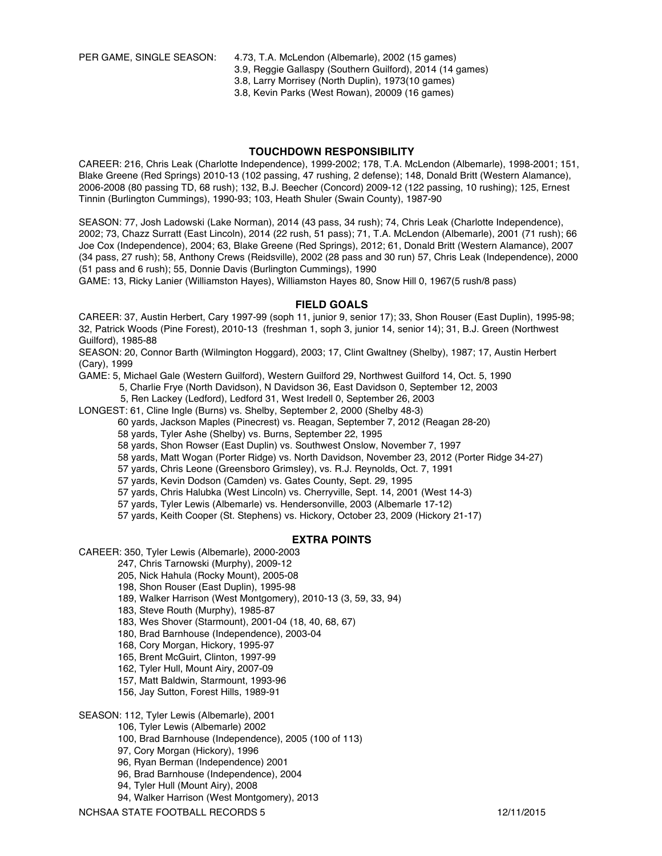PER GAME, SINGLE SEASON: 4.73, T.A. McLendon (Albemarle), 2002 (15 games)

3.9, Reggie Gallaspy (Southern Guilford), 2014 (14 games)

3.8, Larry Morrisey (North Duplin), 1973(10 games)

3.8, Kevin Parks (West Rowan), 20009 (16 games)

#### **TOUCHDOWN RESPONSIBILITY**

CAREER: 216, Chris Leak (Charlotte Independence), 1999-2002; 178, T.A. McLendon (Albemarle), 1998-2001; 151, Blake Greene (Red Springs) 2010-13 (102 passing, 47 rushing, 2 defense); 148, Donald Britt (Western Alamance), 2006-2008 (80 passing TD, 68 rush); 132, B.J. Beecher (Concord) 2009-12 (122 passing, 10 rushing); 125, Ernest Tinnin (Burlington Cummings), 1990-93; 103, Heath Shuler (Swain County), 1987-90

SEASON: 77, Josh Ladowski (Lake Norman), 2014 (43 pass, 34 rush); 74, Chris Leak (Charlotte Independence), 2002; 73, Chazz Surratt (East Lincoln), 2014 (22 rush, 51 pass); 71, T.A. McLendon (Albemarle), 2001 (71 rush); 66 Joe Cox (Independence), 2004; 63, Blake Greene (Red Springs), 2012; 61, Donald Britt (Western Alamance), 2007 (34 pass, 27 rush); 58, Anthony Crews (Reidsville), 2002 (28 pass and 30 run) 57, Chris Leak (Independence), 2000 (51 pass and 6 rush); 55, Donnie Davis (Burlington Cummings), 1990

GAME: 13, Ricky Lanier (Williamston Hayes), Williamston Hayes 80, Snow Hill 0, 1967(5 rush/8 pass)

#### **FIELD GOALS**

CAREER: 37, Austin Herbert, Cary 1997-99 (soph 11, junior 9, senior 17); 33, Shon Rouser (East Duplin), 1995-98; 32, Patrick Woods (Pine Forest), 2010-13 (freshman 1, soph 3, junior 14, senior 14); 31, B.J. Green (Northwest Guilford), 1985-88

SEASON: 20, Connor Barth (Wilmington Hoggard), 2003; 17, Clint Gwaltney (Shelby), 1987; 17, Austin Herbert (Cary), 1999

GAME: 5, Michael Gale (Western Guilford), Western Guilford 29, Northwest Guilford 14, Oct. 5, 1990

5, Charlie Frye (North Davidson), N Davidson 36, East Davidson 0, September 12, 2003

5, Ren Lackey (Ledford), Ledford 31, West Iredell 0, September 26, 2003

LONGEST: 61, Cline Ingle (Burns) vs. Shelby, September 2, 2000 (Shelby 48-3)

60 yards, Jackson Maples (Pinecrest) vs. Reagan, September 7, 2012 (Reagan 28-20)

58 yards, Tyler Ashe (Shelby) vs. Burns, September 22, 1995

58 yards, Shon Rowser (East Duplin) vs. Southwest Onslow, November 7, 1997

58 yards, Matt Wogan (Porter Ridge) vs. North Davidson, November 23, 2012 (Porter Ridge 34-27)

57 yards, Chris Leone (Greensboro Grimsley), vs. R.J. Reynolds, Oct. 7, 1991

57 yards, Kevin Dodson (Camden) vs. Gates County, Sept. 29, 1995

57 yards, Chris Halubka (West Lincoln) vs. Cherryville, Sept. 14, 2001 (West 14-3)

57 yards, Tyler Lewis (Albemarle) vs. Hendersonville, 2003 (Albemarle 17-12)

57 yards, Keith Cooper (St. Stephens) vs. Hickory, October 23, 2009 (Hickory 21-17)

#### **EXTRA POINTS**

CAREER: 350, Tyler Lewis (Albemarle), 2000-2003

247, Chris Tarnowski (Murphy), 2009-12

205, Nick Hahula (Rocky Mount), 2005-08

198, Shon Rouser (East Duplin), 1995-98

189, Walker Harrison (West Montgomery), 2010-13 (3, 59, 33, 94)

183, Steve Routh (Murphy), 1985-87

183, Wes Shover (Starmount), 2001-04 (18, 40, 68, 67)

180, Brad Barnhouse (Independence), 2003-04

168, Cory Morgan, Hickory, 1995-97

165, Brent McGuirt, Clinton, 1997-99

162, Tyler Hull, Mount Airy, 2007-09

157, Matt Baldwin, Starmount, 1993-96

156, Jay Sutton, Forest Hills, 1989-91

SEASON: 112, Tyler Lewis (Albemarle), 2001

106, Tyler Lewis (Albemarle) 2002

100, Brad Barnhouse (Independence), 2005 (100 of 113)

97, Cory Morgan (Hickory), 1996

96, Ryan Berman (Independence) 2001

96, Brad Barnhouse (Independence), 2004

94, Tyler Hull (Mount Airy), 2008

94, Walker Harrison (West Montgomery), 2013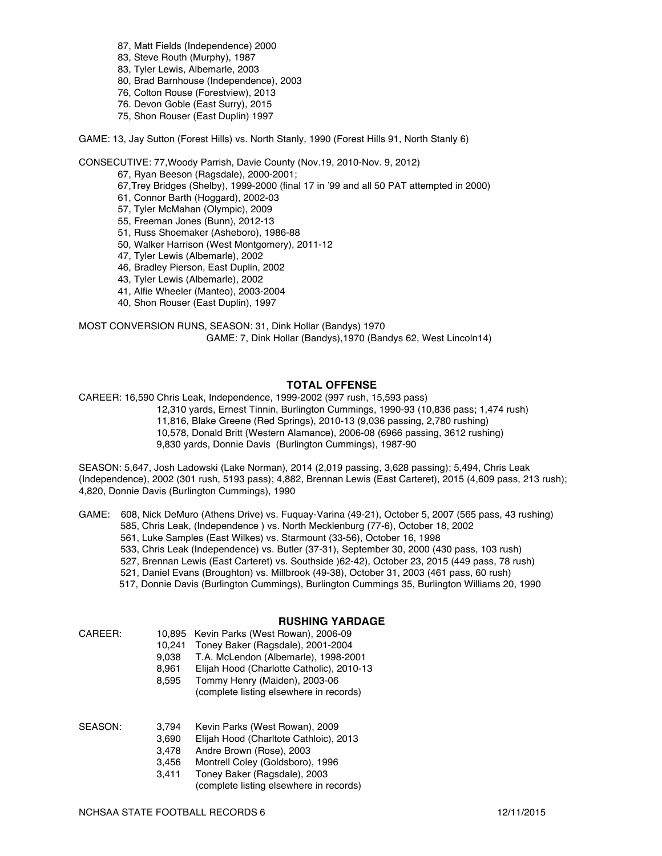- 87, Matt Fields (Independence) 2000
- 83, Steve Routh (Murphy), 1987
- 83, Tyler Lewis, Albemarle, 2003
- 80, Brad Barnhouse (Independence), 2003
- 76, Colton Rouse (Forestview), 2013
- 76. Devon Goble (East Surry), 2015
- 75, Shon Rouser (East Duplin) 1997

GAME: 13, Jay Sutton (Forest Hills) vs. North Stanly, 1990 (Forest Hills 91, North Stanly 6)

CONSECUTIVE: 77,Woody Parrish, Davie County (Nov.19, 2010-Nov. 9, 2012)

67, Ryan Beeson (Ragsdale), 2000-2001;

67,Trey Bridges (Shelby), 1999-2000 (final 17 in '99 and all 50 PAT attempted in 2000)

- 61, Connor Barth (Hoggard), 2002-03
- 57, Tyler McMahan (Olympic), 2009
- 55, Freeman Jones (Bunn), 2012-13
- 51, Russ Shoemaker (Asheboro), 1986-88
- 50, Walker Harrison (West Montgomery), 2011-12
- 47, Tyler Lewis (Albemarle), 2002
- 46, Bradley Pierson, East Duplin, 2002
- 43, Tyler Lewis (Albemarle), 2002
- 41, Alfie Wheeler (Manteo), 2003-2004
- 40, Shon Rouser (East Duplin), 1997

MOST CONVERSION RUNS, SEASON: 31, Dink Hollar (Bandys) 1970 GAME: 7, Dink Hollar (Bandys),1970 (Bandys 62, West Lincoln14)

#### **TOTAL OFFENSE**

CAREER: 16,590 Chris Leak, Independence, 1999-2002 (997 rush, 15,593 pass)

12,310 yards, Ernest Tinnin, Burlington Cummings, 1990-93 (10,836 pass; 1,474 rush)

- 11,816, Blake Greene (Red Springs), 2010-13 (9,036 passing, 2,780 rushing)
- 10,578, Donald Britt (Western Alamance), 2006-08 (6966 passing, 3612 rushing)

9,830 yards, Donnie Davis (Burlington Cummings), 1987-90

SEASON: 5,647, Josh Ladowski (Lake Norman), 2014 (2,019 passing, 3,628 passing); 5,494, Chris Leak (Independence), 2002 (301 rush, 5193 pass); 4,882, Brennan Lewis (East Carteret), 2015 (4,609 pass, 213 rush); 4,820, Donnie Davis (Burlington Cummings), 1990

GAME: 608, Nick DeMuro (Athens Drive) vs. Fuquay-Varina (49-21), October 5, 2007 (565 pass, 43 rushing)

- 585, Chris Leak, (Independence ) vs. North Mecklenburg (77-6), October 18, 2002
- 561, Luke Samples (East Wilkes) vs. Starmount (33-56), October 16, 1998
- 533, Chris Leak (Independence) vs. Butler (37-31), September 30, 2000 (430 pass, 103 rush)
- 527, Brennan Lewis (East Carteret) vs. Southside )62-42), October 23, 2015 (449 pass, 78 rush)
- 521, Daniel Evans (Broughton) vs. Millbrook (49-38), October 31, 2003 (461 pass, 60 rush)
- 517, Donnie Davis (Burlington Cummings), Burlington Cummings 35, Burlington Williams 20, 1990

#### **RUSHING YARDAGE**

| CAREER: |
|---------|
|         |

- 10,895 Kevin Parks (West Rowan), 2006-09 10,241 Toney Baker (Ragsdale), 2001-2004
- 
- 9,038 T.A. McLendon (Albemarle), 1998-2001<br>8,961 Eliiah Hood (Charlotte Catholic), 2010-1: Elijah Hood (Charlotte Catholic), 2010-13
- 8,595 Tommy Henry (Maiden), 2003-06
- (complete listing elsewhere in records)

SEASON: 3,794 Kevin Parks (West Rowan), 2009

- 3,690 Elijah Hood (Charltote Cathloic), 2013
	- 3,478 Andre Brown (Rose), 2003
	- 3,456 Montrell Coley (Goldsboro), 1996
- 3,411 Toney Baker (Ragsdale), 2003
	- (complete listing elsewhere in records)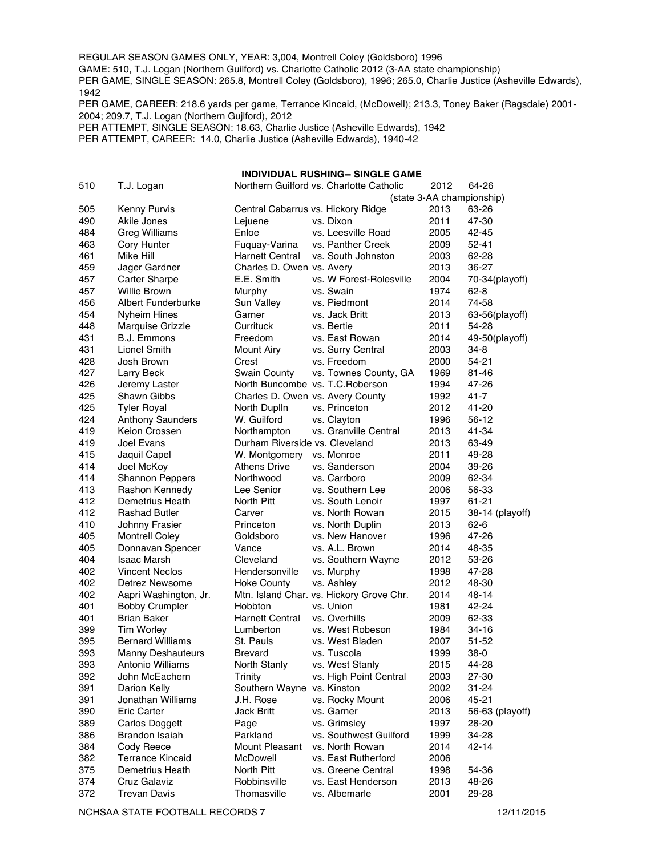REGULAR SEASON GAMES ONLY, YEAR: 3,004, Montrell Coley (Goldsboro) 1996

GAME: 510, T.J. Logan (Northern Guilford) vs. Charlotte Catholic 2012 (3-AA state championship)

PER GAME, SINGLE SEASON: 265.8, Montrell Coley (Goldsboro), 1996; 265.0, Charlie Justice (Asheville Edwards), 

PER GAME, CAREER: 218.6 yards per game, Terrance Kincaid, (McDowell); 213.3, Toney Baker (Ragsdale) 2001- 2004; 209.7, T.J. Logan (Northern Gujlford), 2012

PER ATTEMPT, SINGLE SEASON: 18.63, Charlie Justice (Asheville Edwards), 1942

PER ATTEMPT, CAREER: 14.0, Charlie Justice (Asheville Edwards), 1940-42

#### **INDIVIDUAL RUSHING-- SINGLE GAME**

| 510 | T.J. Logan                |                                                         | Northern Guilford vs. Charlotte Catholic | 2012 | 64-26                     |
|-----|---------------------------|---------------------------------------------------------|------------------------------------------|------|---------------------------|
|     |                           |                                                         |                                          |      | (state 3-AA championship) |
| 505 | Kenny Purvis              | Central Cabarrus vs. Hickory Ridge                      |                                          | 2013 | 63-26                     |
| 490 | Akile Jones               | Lejuene                                                 | vs. Dixon                                | 2011 | 47-30                     |
| 484 | <b>Greg Williams</b>      | Enloe                                                   | vs. Leesville Road                       | 2005 | 42-45                     |
| 463 | Cory Hunter               | Fuquay-Varina                                           | vs. Panther Creek                        | 2009 | $52 - 41$                 |
| 461 | Mike Hill                 | <b>Harnett Central</b>                                  | vs. South Johnston                       | 2003 | 62-28                     |
| 459 | Jager Gardner             | Charles D. Owen vs. Avery                               |                                          | 2013 | 36-27                     |
| 457 | Carter Sharpe             | E.E. Smith                                              | vs. W Forest-Rolesville                  | 2004 | 70-34(playoff)            |
| 457 | <b>Willie Brown</b>       | Murphy                                                  | vs. Swain                                | 1974 | 62-8                      |
| 456 | <b>Albert Funderburke</b> | Sun Valley                                              | vs. Piedmont                             | 2014 | 74-58                     |
| 454 | <b>Nyheim Hines</b>       | Garner                                                  | vs. Jack Britt                           | 2013 | 63-56(playoff)            |
| 448 | Marquise Grizzle          | Currituck                                               | vs. Bertie                               | 2011 | 54-28                     |
| 431 | B.J. Emmons               | Freedom                                                 | vs. East Rowan                           | 2014 | 49-50(playoff)            |
| 431 | <b>Lionel Smith</b>       | <b>Mount Airy</b>                                       | vs. Surry Central                        | 2003 | 34-8                      |
| 428 | Josh Brown                | Crest                                                   | vs. Freedom                              | 2000 | 54-21                     |
| 427 |                           |                                                         |                                          | 1969 | 81-46                     |
| 426 | Larry Beck                | <b>Swain County</b><br>North Buncombe vs. T.C. Roberson | vs. Townes County, GA                    | 1994 | 47-26                     |
|     | Jeremy Laster             |                                                         |                                          | 1992 |                           |
| 425 | Shawn Gibbs               | Charles D. Owen vs. Avery County                        |                                          |      | 41-7                      |
| 425 | <b>Tyler Royal</b>        | North Duplin                                            | vs. Princeton                            | 2012 | 41-20                     |
| 424 | <b>Anthony Saunders</b>   | W. Guilford                                             | vs. Clayton                              | 1996 | 56-12                     |
| 419 | Keion Crossen             | Northampton                                             | vs. Granville Central                    | 2013 | 41-34                     |
| 419 | Joel Evans                | Durham Riverside vs. Cleveland                          |                                          | 2013 | 63-49                     |
| 415 | Jaquil Capel              | W. Montgomery                                           | vs. Monroe                               | 2011 | 49-28                     |
| 414 | Joel McKoy                | <b>Athens Drive</b>                                     | vs. Sanderson                            | 2004 | 39-26                     |
| 414 | Shannon Peppers           | Northwood                                               | vs. Carrboro                             | 2009 | 62-34                     |
| 413 | Rashon Kennedy            | Lee Senior                                              | vs. Southern Lee                         | 2006 | 56-33                     |
| 412 | Demetrius Heath           | North Pitt                                              | vs. South Lenoir                         | 1997 | 61-21                     |
| 412 | Rashad Butler             | Carver                                                  | vs. North Rowan                          | 2015 | 38-14 (playoff)           |
| 410 | Johnny Frasier            | Princeton                                               | vs. North Duplin                         | 2013 | $62 - 6$                  |
| 405 | <b>Montrell Coley</b>     | Goldsboro                                               | vs. New Hanover                          | 1996 | 47-26                     |
| 405 | Donnavan Spencer          | Vance                                                   | vs. A.L. Brown                           | 2014 | 48-35                     |
| 404 | <b>Isaac Marsh</b>        | Cleveland                                               | vs. Southern Wayne                       | 2012 | 53-26                     |
| 402 | <b>Vincent Neclos</b>     | Hendersonville                                          | vs. Murphy                               | 1998 | 47-28                     |
| 402 | Detrez Newsome            | <b>Hoke County</b>                                      | vs. Ashley                               | 2012 | 48-30                     |
| 402 | Aapri Washington, Jr.     |                                                         | Mtn. Island Char. vs. Hickory Grove Chr. | 2014 | 48-14                     |
| 401 | <b>Bobby Crumpler</b>     | Hobbton                                                 | vs. Union                                | 1981 | 42-24                     |
| 401 | <b>Brian Baker</b>        | Harnett Central                                         | vs. Overhills                            | 2009 | 62-33                     |
| 399 | <b>Tim Worley</b>         | Lumberton                                               | vs. West Robeson                         | 1984 | $34 - 16$                 |
| 395 | <b>Bernard Williams</b>   | St. Pauls                                               | vs. West Bladen                          | 2007 | 51-52                     |
| 393 | <b>Manny Deshauteurs</b>  | <b>Brevard</b>                                          | vs. Tuscola                              | 1999 | $38-0$                    |
| 393 | Antonio Williams          | North Stanly                                            | vs. West Stanly                          | 2015 | 44-28                     |
| 392 | John McEachern            | Trinity                                                 | vs. High Point Central                   | 2003 | 27-30                     |
| 391 | Darion Kelly              | Southern Wayne vs. Kinston                              |                                          | 2002 | $31 - 24$                 |
| 391 | Jonathan Williams         | J.H. Rose                                               | vs. Rocky Mount                          | 2006 | 45-21                     |
| 390 | Eric Carter               | Jack Britt                                              | vs. Garner                               | 2013 | 56-63 (playoff)           |
| 389 | Carlos Doggett            | Page                                                    | vs. Grimsley                             | 1997 | 28-20                     |
| 386 | Brandon Isaiah            | Parkland                                                | vs. Southwest Guilford                   | 1999 | 34-28                     |
| 384 | Cody Reece                | Mount Pleasant                                          | vs. North Rowan                          | 2014 | 42-14                     |
| 382 | <b>Terrance Kincaid</b>   | McDowell                                                | vs. East Rutherford                      | 2006 |                           |
| 375 | Demetrius Heath           | North Pitt                                              | vs. Greene Central                       | 1998 | 54-36                     |
| 374 | Cruz Galaviz              | Robbinsville                                            | vs. East Henderson                       | 2013 | 48-26                     |
| 372 | <b>Trevan Davis</b>       | Thomasville                                             | vs. Albemarle                            | 2001 | 29-28                     |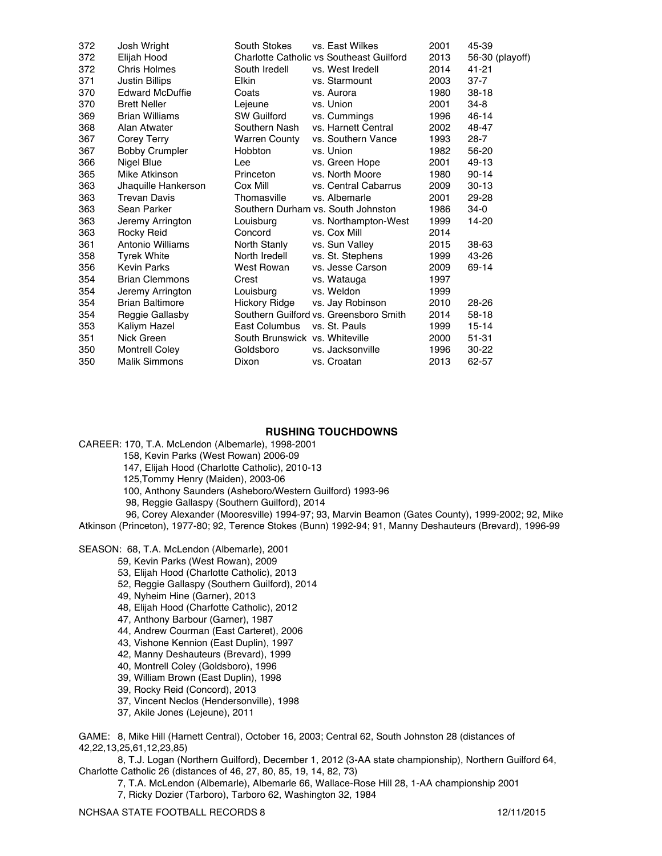| 372 | Josh Wright            | South Stokes                   | vs. East Wilkes                          | 2001 | 45-39           |
|-----|------------------------|--------------------------------|------------------------------------------|------|-----------------|
| 372 | Elijah Hood            |                                | Charlotte Catholic vs Southeast Guilford | 2013 | 56-30 (playoff) |
| 372 | Chris Holmes           | South Iredell                  | vs. West Iredell                         | 2014 | 41-21           |
| 371 | <b>Justin Billips</b>  | <b>Elkin</b>                   | vs. Starmount                            | 2003 | $37 - 7$        |
| 370 | <b>Edward McDuffie</b> | Coats                          | vs. Aurora                               | 1980 | $38-18$         |
| 370 | <b>Brett Neller</b>    | Lejeune                        | vs. Union                                | 2001 | 34-8            |
| 369 | <b>Brian Williams</b>  | <b>SW Guilford</b>             | vs. Cummings                             | 1996 | $46 - 14$       |
| 368 | Alan Atwater           | Southern Nash                  | vs. Harnett Central                      | 2002 | 48-47           |
| 367 | Corey Terry            | <b>Warren County</b>           | vs. Southern Vance                       | 1993 | $28 - 7$        |
| 367 | <b>Bobby Crumpler</b>  | <b>Hobbton</b>                 | vs. Union                                | 1982 | 56-20           |
| 366 | Nigel Blue             | Lee                            | vs. Green Hope                           | 2001 | 49-13           |
| 365 | Mike Atkinson          | Princeton                      | vs. North Moore                          | 1980 | $90 - 14$       |
| 363 | Jhaquille Hankerson    | Cox Mill                       | vs. Central Cabarrus                     | 2009 | $30-13$         |
| 363 | <b>Trevan Davis</b>    | Thomasville                    | vs. Albemarle                            | 2001 | 29-28           |
| 363 | Sean Parker            |                                | Southern Durham vs. South Johnston       | 1986 | $34-0$          |
| 363 | Jeremy Arrington       | Louisburg                      | vs. Northampton-West                     | 1999 | $14 - 20$       |
| 363 | Rocky Reid             | Concord                        | vs. Cox Mill                             | 2014 |                 |
| 361 | Antonio Williams       | North Stanly                   | vs. Sun Valley                           | 2015 | 38-63           |
| 358 | <b>Tyrek White</b>     | North Iredell                  | vs. St. Stephens                         | 1999 | 43-26           |
| 356 | <b>Kevin Parks</b>     | West Rowan                     | vs. Jesse Carson                         | 2009 | 69-14           |
| 354 | <b>Brian Clemmons</b>  | Crest                          | vs. Watauga                              | 1997 |                 |
| 354 | Jeremy Arrington       | Louisburg                      | vs. Weldon                               | 1999 |                 |
| 354 | <b>Brian Baltimore</b> | Hickory Ridge                  | vs. Jay Robinson                         | 2010 | 28-26           |
| 354 | Reggie Gallasby        |                                | Southern Guilford vs. Greensboro Smith   | 2014 | 58-18           |
| 353 | Kaliym Hazel           | East Columbus                  | vs. St. Pauls                            | 1999 | $15 - 14$       |
| 351 | Nick Green             | South Brunswick vs. Whiteville |                                          | 2000 | $51 - 31$       |
| 350 | <b>Montrell Coley</b>  | Goldsboro                      | vs. Jacksonville                         | 1996 | $30 - 22$       |
| 350 | <b>Malik Simmons</b>   | Dixon                          | vs. Croatan                              | 2013 | 62-57           |
|     |                        |                                |                                          |      |                 |

#### **RUSHING TOUCHDOWNS**

CAREER: 170, T.A. McLendon (Albemarle), 1998-2001

158, Kevin Parks (West Rowan) 2006-09

147, Elijah Hood (Charlotte Catholic), 2010-13

125,Tommy Henry (Maiden), 2003-06

100, Anthony Saunders (Asheboro/Western Guilford) 1993-96

98, Reggie Gallaspy (Southern Guilford), 2014

 96, Corey Alexander (Mooresville) 1994-97; 93, Marvin Beamon (Gates County), 1999-2002; 92, Mike Atkinson (Princeton), 1977-80; 92, Terence Stokes (Bunn) 1992-94; 91, Manny Deshauteurs (Brevard), 1996-99

SEASON: 68, T.A. McLendon (Albemarle), 2001

59, Kevin Parks (West Rowan), 2009

53, Elijah Hood (Charlotte Catholic), 2013

52, Reggie Gallaspy (Southern Guilford), 2014

49, Nyheim Hine (Garner), 2013

48, Elijah Hood (Charfotte Catholic), 2012

47, Anthony Barbour (Garner), 1987

44, Andrew Courman (East Carteret), 2006

43, Vishone Kennion (East Duplin), 1997

42, Manny Deshauteurs (Brevard), 1999

40, Montrell Coley (Goldsboro), 1996

39, William Brown (East Duplin), 1998

39, Rocky Reid (Concord), 2013

37, Vincent Neclos (Hendersonville), 1998

37, Akile Jones (Lejeune), 2011

GAME: 8, Mike Hill (Harnett Central), October 16, 2003; Central 62, South Johnston 28 (distances of 42,22,13,25,61,12,23,85)

8, T.J. Logan (Northern Guilford), December 1, 2012 (3-AA state championship), Northern Guilford 64, Charlotte Catholic 26 (distances of 46, 27, 80, 85, 19, 14, 82, 73)

7, T.A. McLendon (Albemarle), Albemarle 66, Wallace-Rose Hill 28, 1-AA championship 2001

7, Ricky Dozier (Tarboro), Tarboro 62, Washington 32, 1984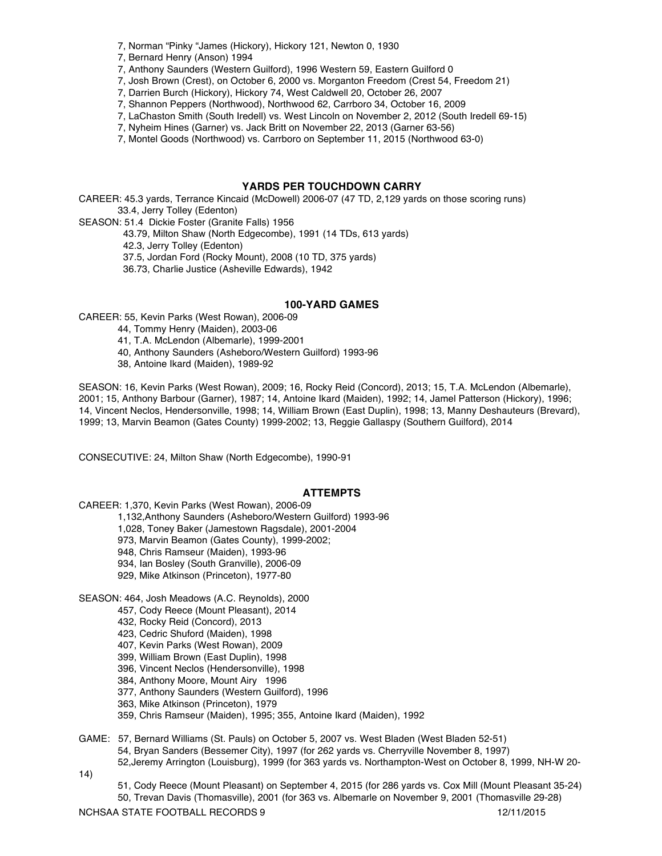- 7, Norman "Pinky "James (Hickory), Hickory 121, Newton 0, 1930
- 7, Bernard Henry (Anson) 1994
- 7, Anthony Saunders (Western Guilford), 1996 Western 59, Eastern Guilford 0
- 7, Josh Brown (Crest), on October 6, 2000 vs. Morganton Freedom (Crest 54, Freedom 21)
- 7, Darrien Burch (Hickory), Hickory 74, West Caldwell 20, October 26, 2007
- 7, Shannon Peppers (Northwood), Northwood 62, Carrboro 34, October 16, 2009
- 7, LaChaston Smith (South Iredell) vs. West Lincoln on November 2, 2012 (South Iredell 69-15)
- 7, Nyheim Hines (Garner) vs. Jack Britt on November 22, 2013 (Garner 63-56)
- 7, Montel Goods (Northwood) vs. Carrboro on September 11, 2015 (Northwood 63-0)

#### **YARDS PER TOUCHDOWN CARRY**

CAREER: 45.3 yards, Terrance Kincaid (McDowell) 2006-07 (47 TD, 2,129 yards on those scoring runs) 33.4, Jerry Tolley (Edenton)

SEASON: 51.4 Dickie Foster (Granite Falls) 1956

43.79, Milton Shaw (North Edgecombe), 1991 (14 TDs, 613 yards)

42.3, Jerry Tolley (Edenton)

37.5, Jordan Ford (Rocky Mount), 2008 (10 TD, 375 yards)

36.73, Charlie Justice (Asheville Edwards), 1942

#### **100-YARD GAMES**

CAREER: 55, Kevin Parks (West Rowan), 2006-09

44, Tommy Henry (Maiden), 2003-06

41, T.A. McLendon (Albemarle), 1999-2001

40, Anthony Saunders (Asheboro/Western Guilford) 1993-96

38, Antoine Ikard (Maiden), 1989-92

SEASON: 16, Kevin Parks (West Rowan), 2009; 16, Rocky Reid (Concord), 2013; 15, T.A. McLendon (Albemarle), 2001; 15, Anthony Barbour (Garner), 1987; 14, Antoine Ikard (Maiden), 1992; 14, Jamel Patterson (Hickory), 1996; 14, Vincent Neclos, Hendersonville, 1998; 14, William Brown (East Duplin), 1998; 13, Manny Deshauteurs (Brevard), 1999; 13, Marvin Beamon (Gates County) 1999-2002; 13, Reggie Gallaspy (Southern Guilford), 2014

CONSECUTIVE: 24, Milton Shaw (North Edgecombe), 1990-91

#### **ATTEMPTS**

CAREER: 1,370, Kevin Parks (West Rowan), 2006-09

1,132,Anthony Saunders (Asheboro/Western Guilford) 1993-96

1,028, Toney Baker (Jamestown Ragsdale), 2001-2004

973, Marvin Beamon (Gates County), 1999-2002;

948, Chris Ramseur (Maiden), 1993-96

- 934, Ian Bosley (South Granville), 2006-09
- 929, Mike Atkinson (Princeton), 1977-80

SEASON: 464, Josh Meadows (A.C. Reynolds), 2000

- 457, Cody Reece (Mount Pleasant), 2014
- 432, Rocky Reid (Concord), 2013
- 423, Cedric Shuford (Maiden), 1998
- 407, Kevin Parks (West Rowan), 2009
- 399, William Brown (East Duplin), 1998
- 396, Vincent Neclos (Hendersonville), 1998
- 384, Anthony Moore, Mount Airy 1996
- 377, Anthony Saunders (Western Guilford), 1996
- 363, Mike Atkinson (Princeton), 1979
- 359, Chris Ramseur (Maiden), 1995; 355, Antoine Ikard (Maiden), 1992

GAME: 57, Bernard Williams (St. Pauls) on October 5, 2007 vs. West Bladen (West Bladen 52-51) 54, Bryan Sanders (Bessemer City), 1997 (for 262 yards vs. Cherryville November 8, 1997) 52,Jeremy Arrington (Louisburg), 1999 (for 363 yards vs. Northampton-West on October 8, 1999, NH-W 20-

14)

51, Cody Reece (Mount Pleasant) on September 4, 2015 (for 286 yards vs. Cox Mill (Mount Pleasant 35-24) 50, Trevan Davis (Thomasville), 2001 (for 363 vs. Albemarle on November 9, 2001 (Thomasville 29-28)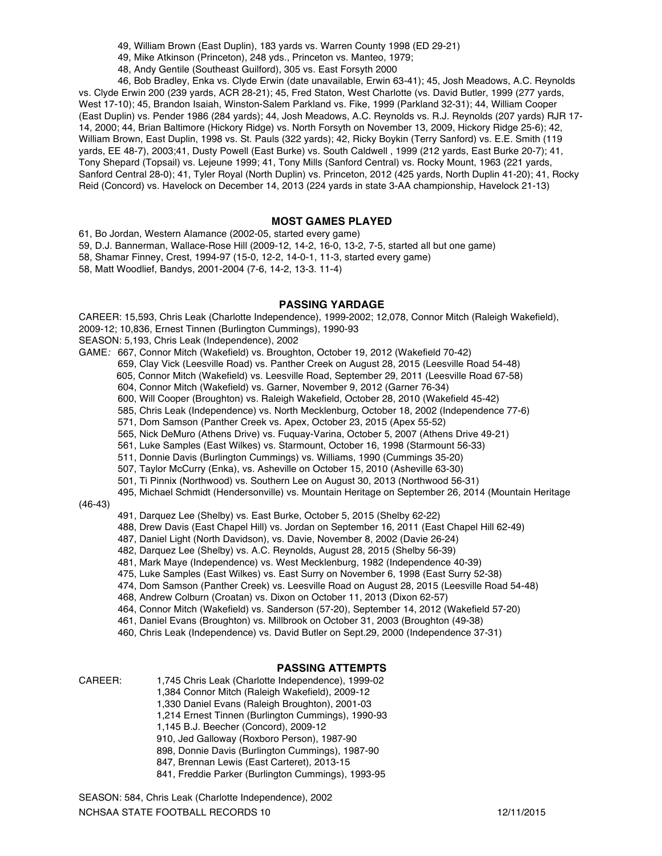- 49, William Brown (East Duplin), 183 yards vs. Warren County 1998 (ED 29-21)
- 49, Mike Atkinson (Princeton), 248 yds., Princeton vs. Manteo, 1979;
- 48, Andy Gentile (Southeast Guilford), 305 vs. East Forsyth 2000

46, Bob Bradley, Enka vs. Clyde Erwin (date unavailable, Erwin 63-41); 45, Josh Meadows, A.C. Reynolds vs. Clyde Erwin 200 (239 yards, ACR 28-21); 45, Fred Staton, West Charlotte (vs. David Butler, 1999 (277 yards, West 17-10); 45, Brandon Isaiah, Winston-Salem Parkland vs. Fike, 1999 (Parkland 32-31); 44, William Cooper (East Duplin) vs. Pender 1986 (284 yards); 44, Josh Meadows, A.C. Reynolds vs. R.J. Reynolds (207 yards) RJR 17- 14, 2000; 44, Brian Baltimore (Hickory Ridge) vs. North Forsyth on November 13, 2009, Hickory Ridge 25-6); 42, William Brown, East Duplin, 1998 vs. St. Pauls (322 yards); 42, Ricky Boykin (Terry Sanford) vs. E.E. Smith (119 yards, EE 48-7), 2003;41, Dusty Powell (East Burke) vs. South Caldwell , 1999 (212 yards, East Burke 20-7); 41, Tony Shepard (Topsail) vs. Lejeune 1999; 41, Tony Mills (Sanford Central) vs. Rocky Mount, 1963 (221 yards, Sanford Central 28-0); 41, Tyler Royal (North Duplin) vs. Princeton, 2012 (425 yards, North Duplin 41-20); 41, Rocky Reid (Concord) vs. Havelock on December 14, 2013 (224 yards in state 3-AA championship, Havelock 21-13)

#### **MOST GAMES PLAYED**

61, Bo Jordan, Western Alamance (2002-05, started every game)

59, D.J. Bannerman, Wallace-Rose Hill (2009-12, 14-2, 16-0, 13-2, 7-5, started all but one game)

- 58, Shamar Finney, Crest, 1994-97 (15-0, 12-2, 14-0-1, 11-3, started every game)
- 58, Matt Woodlief, Bandys, 2001-2004 (7-6, 14-2, 13-3. 11-4)

#### **PASSING YARDAGE**

CAREER: 15,593, Chris Leak (Charlotte Independence), 1999-2002; 12,078, Connor Mitch (Raleigh Wakefield),

- 2009-12; 10,836, Ernest Tinnen (Burlington Cummings), 1990-93
- SEASON: 5,193, Chris Leak (Independence), 2002

GAME*:* 667, Connor Mitch (Wakefield) vs. Broughton, October 19, 2012 (Wakefield 70-42)

659, Clay Vick (Leesville Road) vs. Panther Creek on August 28, 2015 (Leesville Road 54-48)

- 605, Connor Mitch (Wakefield) vs. Leesville Road, September 29, 2011 (Leesville Road 67-58)
- 604, Connor Mitch (Wakefield) vs. Garner, November 9, 2012 (Garner 76-34)
- 600, Will Cooper (Broughton) vs. Raleigh Wakefield, October 28, 2010 (Wakefield 45-42)
- 585, Chris Leak (Independence) vs. North Mecklenburg, October 18, 2002 (Independence 77-6)
- 571, Dom Samson (Panther Creek vs. Apex, October 23, 2015 (Apex 55-52)
- 565, Nick DeMuro (Athens Drive) vs. Fuquay-Varina, October 5, 2007 (Athens Drive 49-21)
- 561, Luke Samples (East Wilkes) vs. Starmount, October 16, 1998 (Starmount 56-33)
- 511, Donnie Davis (Burlington Cummings) vs. Williams, 1990 (Cummings 35-20)
- 507, Taylor McCurry (Enka), vs. Asheville on October 15, 2010 (Asheville 63-30)
- 501, Ti Pinnix (Northwood) vs. Southern Lee on August 30, 2013 (Northwood 56-31)
- 495, Michael Schmidt (Hendersonville) vs. Mountain Heritage on September 26, 2014 (Mountain Heritage

#### (46-43)

- 491, Darquez Lee (Shelby) vs. East Burke, October 5, 2015 (Shelby 62-22)
- 488, Drew Davis (East Chapel Hill) vs. Jordan on September 16, 2011 (East Chapel Hill 62-49)
- 487, Daniel Light (North Davidson), vs. Davie, November 8, 2002 (Davie 26-24)
- 482, Darquez Lee (Shelby) vs. A.C. Reynolds, August 28, 2015 (Shelby 56-39)
- 481, Mark Maye (Independence) vs. West Mecklenburg, 1982 (Independence 40-39)
- 475, Luke Samples (East Wilkes) vs. East Surry on November 6, 1998 (East Surry 52-38)
- 474, Dom Samson (Panther Creek) vs. Leesville Road on August 28, 2015 (Leesville Road 54-48)
- 468, Andrew Colburn (Croatan) vs. Dixon on October 11, 2013 (Dixon 62-57)
- 464, Connor Mitch (Wakefield) vs. Sanderson (57-20), September 14, 2012 (Wakefield 57-20)
- 461, Daniel Evans (Broughton) vs. Millbrook on October 31, 2003 (Broughton (49-38)
- 460, Chris Leak (Independence) vs. David Butler on Sept.29, 2000 (Independence 37-31)

#### **PASSING ATTEMPTS**

- CAREER: 1,745 Chris Leak (Charlotte Independence), 1999-02
	- 1,384 Connor Mitch (Raleigh Wakefield), 2009-12
	- 1,330 Daniel Evans (Raleigh Broughton), 2001-03
	- 1,214 Ernest Tinnen (Burlington Cummings), 1990-93
	- 1,145 B.J. Beecher (Concord), 2009-12
		- 910, Jed Galloway (Roxboro Person), 1987-90
		- 898, Donnie Davis (Burlington Cummings), 1987-90
		- 847, Brennan Lewis (East Carteret), 2013-15
	- 841, Freddie Parker (Burlington Cummings), 1993-95

NCHSAA STATE FOOTBALL RECORDS 10 12/11/2015 SEASON: 584, Chris Leak (Charlotte Independence), 2002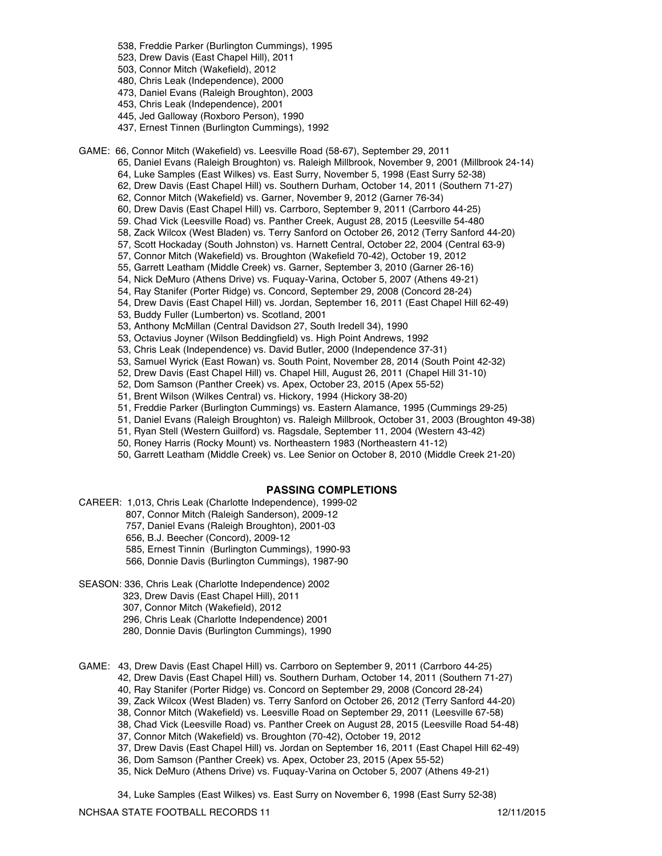- 538, Freddie Parker (Burlington Cummings), 1995
- 523, Drew Davis (East Chapel Hill), 2011
- 503, Connor Mitch (Wakefield), 2012
- 480, Chris Leak (Independence), 2000
- 473, Daniel Evans (Raleigh Broughton), 2003
- 453, Chris Leak (Independence), 2001
- 445, Jed Galloway (Roxboro Person), 1990
- 437, Ernest Tinnen (Burlington Cummings), 1992

GAME: 66, Connor Mitch (Wakefield) vs. Leesville Road (58-67), September 29, 2011

- 65, Daniel Evans (Raleigh Broughton) vs. Raleigh Millbrook, November 9, 2001 (Millbrook 24-14)
- 64, Luke Samples (East Wilkes) vs. East Surry, November 5, 1998 (East Surry 52-38)
- 62, Drew Davis (East Chapel Hill) vs. Southern Durham, October 14, 2011 (Southern 71-27)
- 62, Connor Mitch (Wakefield) vs. Garner, November 9, 2012 (Garner 76-34)
- 60, Drew Davis (East Chapel Hill) vs. Carrboro, September 9, 2011 (Carrboro 44-25)
- 59. Chad Vick (Leesville Road) vs. Panther Creek, August 28, 2015 (Leesville 54-480
- 58, Zack Wilcox (West Bladen) vs. Terry Sanford on October 26, 2012 (Terry Sanford 44-20)
- 57, Scott Hockaday (South Johnston) vs. Harnett Central, October 22, 2004 (Central 63-9)
- 57, Connor Mitch (Wakefield) vs. Broughton (Wakefield 70-42), October 19, 2012
- 55, Garrett Leatham (Middle Creek) vs. Garner, September 3, 2010 (Garner 26-16)
- 54, Nick DeMuro (Athens Drive) vs. Fuquay-Varina, October 5, 2007 (Athens 49-21)
- 54, Ray Stanifer (Porter Ridge) vs. Concord, September 29, 2008 (Concord 28-24)
- 54, Drew Davis (East Chapel Hill) vs. Jordan, September 16, 2011 (East Chapel Hill 62-49)
- 53, Buddy Fuller (Lumberton) vs. Scotland, 2001
- 53, Anthony McMillan (Central Davidson 27, South Iredell 34), 1990
- 53, Octavius Joyner (Wilson Beddingfield) vs. High Point Andrews, 1992
- 53, Chris Leak (Independence) vs. David Butler, 2000 (Independence 37-31)
- 53, Samuel Wyrick (East Rowan) vs. South Point, November 28, 2014 (South Point 42-32)
- 52, Drew Davis (East Chapel Hill) vs. Chapel Hill, August 26, 2011 (Chapel Hill 31-10)
- 52, Dom Samson (Panther Creek) vs. Apex, October 23, 2015 (Apex 55-52)
- 51, Brent Wilson (Wilkes Central) vs. Hickory, 1994 (Hickory 38-20)
- 51, Freddie Parker (Burlington Cummings) vs. Eastern Alamance, 1995 (Cummings 29-25)
- 51, Daniel Evans (Raleigh Broughton) vs. Raleigh Millbrook, October 31, 2003 (Broughton 49-38)
- 51, Ryan Stell (Western Guilford) vs. Ragsdale, September 11, 2004 (Western 43-42)
- 50, Roney Harris (Rocky Mount) vs. Northeastern 1983 (Northeastern 41-12)
- 50, Garrett Leatham (Middle Creek) vs. Lee Senior on October 8, 2010 (Middle Creek 21-20)

#### **PASSING COMPLETIONS**

- CAREER: 1,013, Chris Leak (Charlotte Independence), 1999-02
	- 807, Connor Mitch (Raleigh Sanderson), 2009-12
	- 757, Daniel Evans (Raleigh Broughton), 2001-03
	- 656, B.J. Beecher (Concord), 2009-12
	- 585, Ernest Tinnin (Burlington Cummings), 1990-93
	- 566, Donnie Davis (Burlington Cummings), 1987-90
- SEASON: 336, Chris Leak (Charlotte Independence) 2002
	- 323, Drew Davis (East Chapel Hill), 2011
	- 307, Connor Mitch (Wakefield), 2012
	- 296, Chris Leak (Charlotte Independence) 2001
	- 280, Donnie Davis (Burlington Cummings), 1990
- GAME: 43, Drew Davis (East Chapel Hill) vs. Carrboro on September 9, 2011 (Carrboro 44-25)
	- 42, Drew Davis (East Chapel Hill) vs. Southern Durham, October 14, 2011 (Southern 71-27)
	- 40, Ray Stanifer (Porter Ridge) vs. Concord on September 29, 2008 (Concord 28-24)
	- 39, Zack Wilcox (West Bladen) vs. Terry Sanford on October 26, 2012 (Terry Sanford 44-20)
	- 38, Connor Mitch (Wakefield) vs. Leesville Road on September 29, 2011 (Leesville 67-58)
	- 38, Chad Vick (Leesville Road) vs. Panther Creek on August 28, 2015 (Leesville Road 54-48)
	- 37, Connor Mitch (Wakefield) vs. Broughton (70-42), October 19, 2012
	- 37, Drew Davis (East Chapel Hill) vs. Jordan on September 16, 2011 (East Chapel Hill 62-49)
	- 36, Dom Samson (Panther Creek) vs. Apex, October 23, 2015 (Apex 55-52)
	- 35, Nick DeMuro (Athens Drive) vs. Fuquay-Varina on October 5, 2007 (Athens 49-21)
	- 34, Luke Samples (East Wilkes) vs. East Surry on November 6, 1998 (East Surry 52-38)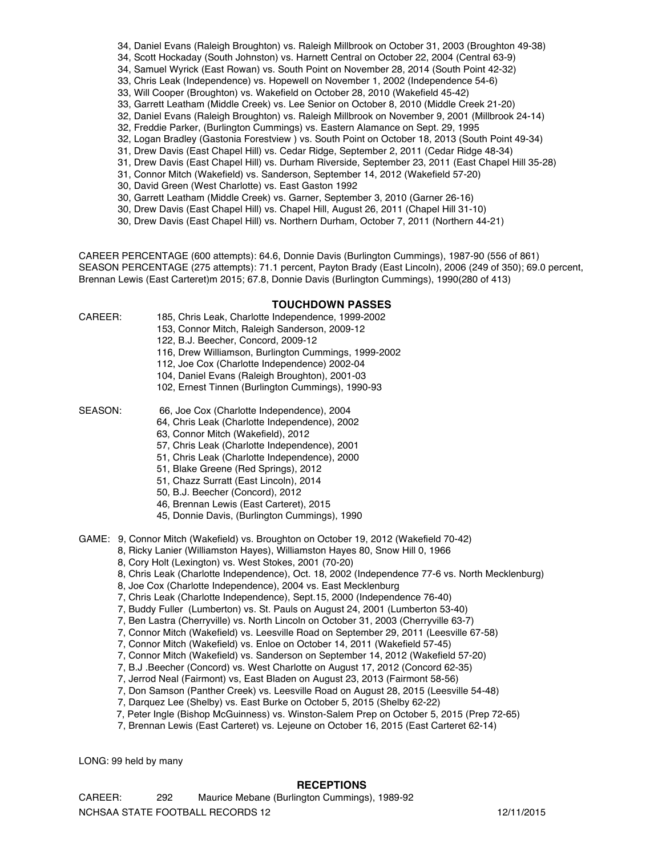- 34, Daniel Evans (Raleigh Broughton) vs. Raleigh Millbrook on October 31, 2003 (Broughton 49-38)
- 34, Scott Hockaday (South Johnston) vs. Harnett Central on October 22, 2004 (Central 63-9)
- 34, Samuel Wyrick (East Rowan) vs. South Point on November 28, 2014 (South Point 42-32)
- 33, Chris Leak (Independence) vs. Hopewell on November 1, 2002 (Independence 54-6)
- 33, Will Cooper (Broughton) vs. Wakefield on October 28, 2010 (Wakefield 45-42)
- 33, Garrett Leatham (Middle Creek) vs. Lee Senior on October 8, 2010 (Middle Creek 21-20)
- 32, Daniel Evans (Raleigh Broughton) vs. Raleigh Millbrook on November 9, 2001 (Millbrook 24-14)
- 32, Freddie Parker, (Burlington Cummings) vs. Eastern Alamance on Sept. 29, 1995
- 32, Logan Bradley (Gastonia Forestview ) vs. South Point on October 18, 2013 (South Point 49-34)
- 31, Drew Davis (East Chapel Hill) vs. Cedar Ridge, September 2, 2011 (Cedar Ridge 48-34)
- 31, Drew Davis (East Chapel Hill) vs. Durham Riverside, September 23, 2011 (East Chapel Hill 35-28)
- 31, Connor Mitch (Wakefield) vs. Sanderson, September 14, 2012 (Wakefield 57-20)
- 30, David Green (West Charlotte) vs. East Gaston 1992
- 30, Garrett Leatham (Middle Creek) vs. Garner, September 3, 2010 (Garner 26-16)
- 30, Drew Davis (East Chapel Hill) vs. Chapel Hill, August 26, 2011 (Chapel Hill 31-10)
- 30, Drew Davis (East Chapel Hill) vs. Northern Durham, October 7, 2011 (Northern 44-21)

CAREER PERCENTAGE (600 attempts): 64.6, Donnie Davis (Burlington Cummings), 1987-90 (556 of 861) SEASON PERCENTAGE (275 attempts): 71.1 percent, Payton Brady (East Lincoln), 2006 (249 of 350); 69.0 percent, Brennan Lewis (East Carteret)m 2015; 67.8, Donnie Davis (Burlington Cummings), 1990(280 of 413)

#### **TOUCHDOWN PASSES**

- CAREER: 185, Chris Leak, Charlotte Independence, 1999-2002
	- 153, Connor Mitch, Raleigh Sanderson, 2009-12
	- 122, B.J. Beecher, Concord, 2009-12
	- 116, Drew Williamson, Burlington Cummings, 1999-2002
	- 112, Joe Cox (Charlotte Independence) 2002-04
	- 104, Daniel Evans (Raleigh Broughton), 2001-03
	- 102, Ernest Tinnen (Burlington Cummings), 1990-93
- SEASON: 66, Joe Cox (Charlotte Independence), 2004
	- 64, Chris Leak (Charlotte Independence), 2002
		- 63, Connor Mitch (Wakefield), 2012
		- 57, Chris Leak (Charlotte Independence), 2001
		- 51, Chris Leak (Charlotte Independence), 2000
		- 51, Blake Greene (Red Springs), 2012
		- 51, Chazz Surratt (East Lincoln), 2014
		- 50, B.J. Beecher (Concord), 2012
		- 46, Brennan Lewis (East Carteret), 2015
		- 45, Donnie Davis, (Burlington Cummings), 1990
- GAME: 9, Connor Mitch (Wakefield) vs. Broughton on October 19, 2012 (Wakefield 70-42)
	- 8, Ricky Lanier (Williamston Hayes), Williamston Hayes 80, Snow Hill 0, 1966
		- 8, Cory Holt (Lexington) vs. West Stokes, 2001 (70-20)
		- 8, Chris Leak (Charlotte Independence), Oct. 18, 2002 (Independence 77-6 vs. North Mecklenburg)
		- 8, Joe Cox (Charlotte Independence), 2004 vs. East Mecklenburg
	- 7, Chris Leak (Charlotte Independence), Sept.15, 2000 (Independence 76-40)
	- 7, Buddy Fuller (Lumberton) vs. St. Pauls on August 24, 2001 (Lumberton 53-40)
	- 7, Ben Lastra (Cherryville) vs. North Lincoln on October 31, 2003 (Cherryville 63-7)
	- 7, Connor Mitch (Wakefield) vs. Leesville Road on September 29, 2011 (Leesville 67-58)
	- 7, Connor Mitch (Wakefield) vs. Enloe on October 14, 2011 (Wakefield 57-45)
	- 7, Connor Mitch (Wakefield) vs. Sanderson on September 14, 2012 (Wakefield 57-20)
	- 7, B.J .Beecher (Concord) vs. West Charlotte on August 17, 2012 (Concord 62-35)
	- 7, Jerrod Neal (Fairmont) vs, East Bladen on August 23, 2013 (Fairmont 58-56)
	- 7, Don Samson (Panther Creek) vs. Leesville Road on August 28, 2015 (Leesville 54-48)
	- 7, Darquez Lee (Shelby) vs. East Burke on October 5, 2015 (Shelby 62-22)
	- 7, Peter Ingle (Bishop McGuinness) vs. Winston-Salem Prep on October 5, 2015 (Prep 72-65)
	- 7, Brennan Lewis (East Carteret) vs. Lejeune on October 16, 2015 (East Carteret 62-14)

LONG: 99 held by many

#### **RECEPTIONS**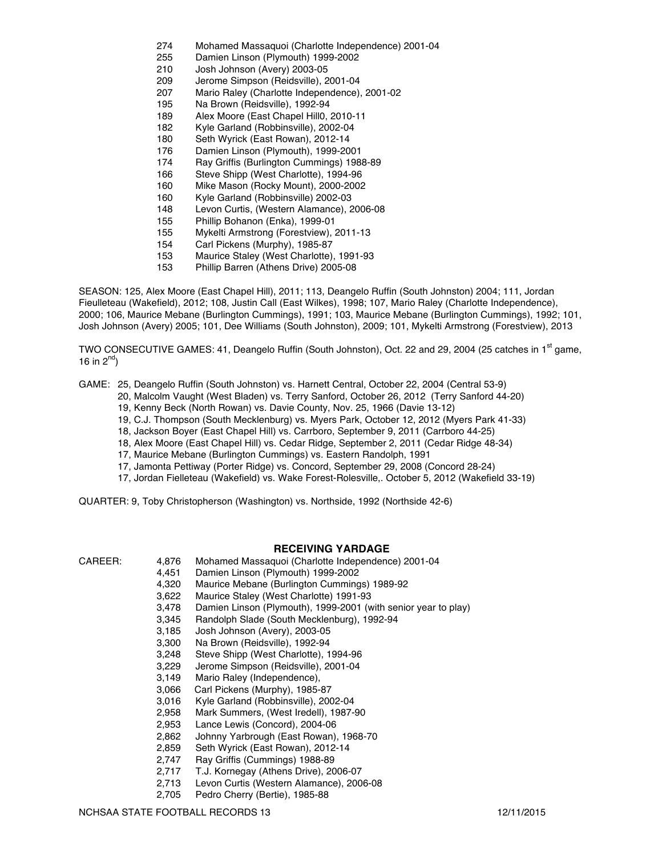- 274 Mohamed Massaquoi (Charlotte Independence) 2001-04
- 255 Damien Linson (Plymouth) 1999-2002
- 210 Josh Johnson (Avery) 2003-05
- 209 Jerome Simpson (Reidsville), 2001-04
- 207 Mario Raley (Charlotte Independence), 2001-02
- 195 Na Brown (Reidsville), 1992-94
- 189 Alex Moore (East Chapel Hill0, 2010-11
- 182 Kyle Garland (Robbinsville), 2002-04
- 180 Seth Wyrick (East Rowan), 2012-14
- 176 Damien Linson (Plymouth), 1999-2001
- 174 Ray Griffis (Burlington Cummings) 1988-89
- 166 Steve Shipp (West Charlotte), 1994-96
- 160 Mike Mason (Rocky Mount), 2000-2002
- 160 Kyle Garland (Robbinsville) 2002-03
- 148 Levon Curtis, (Western Alamance), 2006-08
- 155 Phillip Bohanon (Enka), 1999-01
- 155 Mykelti Armstrong (Forestview), 2011-13
- 154 Carl Pickens (Murphy), 1985-87
- 153 Maurice Staley (West Charlotte), 1991-93
- 153 Phillip Barren (Athens Drive) 2005-08

SEASON: 125, Alex Moore (East Chapel Hill), 2011; 113, Deangelo Ruffin (South Johnston) 2004; 111, Jordan Fieulleteau (Wakefield), 2012; 108, Justin Call (East Wilkes), 1998; 107, Mario Raley (Charlotte Independence), 2000; 106, Maurice Mebane (Burlington Cummings), 1991; 103, Maurice Mebane (Burlington Cummings), 1992; 101, Josh Johnson (Avery) 2005; 101, Dee Williams (South Johnston), 2009; 101, Mykelti Armstrong (Forestview), 2013

TWO CONSECUTIVE GAMES: 41, Deangelo Ruffin (South Johnston), Oct. 22 and 29, 2004 (25 catches in 1<sup>st</sup> game, 16 in  $2^{nd}$ )

GAME: 25, Deangelo Ruffin (South Johnston) vs. Harnett Central, October 22, 2004 (Central 53-9)

- 20, Malcolm Vaught (West Bladen) vs. Terry Sanford, October 26, 2012 (Terry Sanford 44-20)
- 19, Kenny Beck (North Rowan) vs. Davie County, Nov. 25, 1966 (Davie 13-12)
- 19, C.J. Thompson (South Mecklenburg) vs. Myers Park, October 12, 2012 (Myers Park 41-33)
- 18, Jackson Boyer (East Chapel Hill) vs. Carrboro, September 9, 2011 (Carrboro 44-25)
- 18, Alex Moore (East Chapel Hill) vs. Cedar Ridge, September 2, 2011 (Cedar Ridge 48-34)
- 17, Maurice Mebane (Burlington Cummings) vs. Eastern Randolph, 1991
- 17, Jamonta Pettiway (Porter Ridge) vs. Concord, September 29, 2008 (Concord 28-24)
- 17, Jordan Fielleteau (Wakefield) vs. Wake Forest-Rolesville,. October 5, 2012 (Wakefield 33-19)

QUARTER: 9, Toby Christopherson (Washington) vs. Northside, 1992 (Northside 42-6)

- **RECEIVING YARDAGE**
- CAREER: 4,876 Mohamed Massaquoi (Charlotte Independence) 2001-04
	- 4,451 Damien Linson (Plymouth) 1999-2002
	- 4,320 Maurice Mebane (Burlington Cummings) 1989-92
	- 3,622 Maurice Staley (West Charlotte) 1991-93
	- 3,478 Damien Linson (Plymouth), 1999-2001 (with senior year to play)
	- 3,345 Randolph Slade (South Mecklenburg), 1992-94
	- 3,185 Josh Johnson (Avery), 2003-05
	- 3,300 Na Brown (Reidsville), 1992-94
	- 3,248 Steve Shipp (West Charlotte), 1994-96
	- 3,229 Jerome Simpson (Reidsville), 2001-04
	- 3,149 Mario Raley (Independence),
	- 3,066 Carl Pickens (Murphy), 1985-87
	- 3,016 Kyle Garland (Robbinsville), 2002-04
	- 2,958 Mark Summers, (West Iredell), 1987-90
	- 2,953 Lance Lewis (Concord), 2004-06
	- 2,862 Johnny Yarbrough (East Rowan), 1968-70
	- 2,859 Seth Wyrick (East Rowan), 2012-14
	-
	- 2,747 Ray Griffis (Cummings) 1988-89<br>2,717 T.J. Kornegay (Athens Drive), 20 T.J. Kornegay (Athens Drive), 2006-07
	- 2,713 Levon Curtis (Western Alamance), 2006-08
	- 2,705 Pedro Cherry (Bertie), 1985-88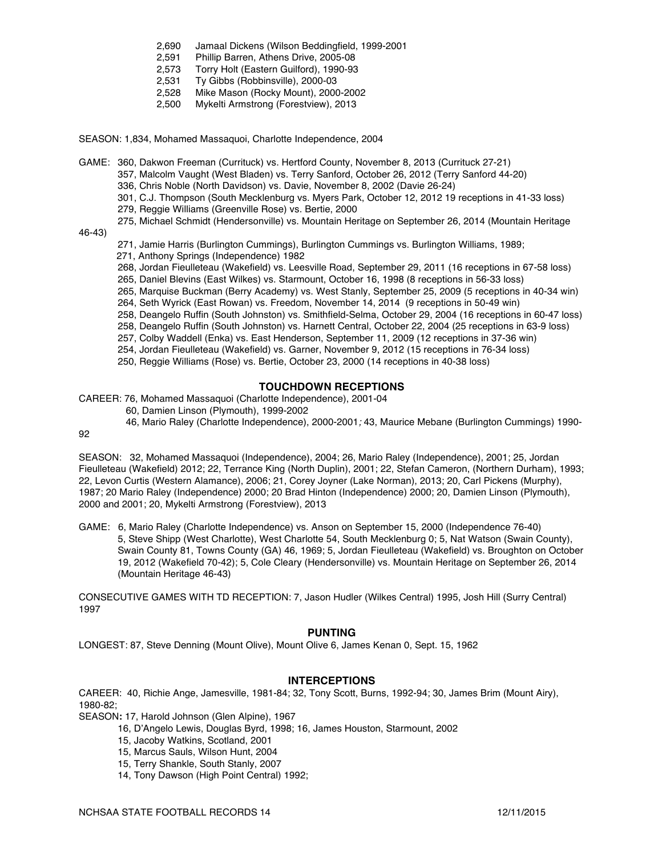- 2,690 Jamaal Dickens (Wilson Beddingfield, 1999-2001
- 2,591 Phillip Barren, Athens Drive, 2005-08
- 2,573 Torry Holt (Eastern Guilford), 1990-93
- 2,531 Ty Gibbs (Robbinsville), 2000-03
- 2,528 Mike Mason (Rocky Mount), 2000-2002
- 2,500 Mykelti Armstrong (Forestview), 2013
- SEASON: 1,834, Mohamed Massaquoi, Charlotte Independence, 2004
- GAME: 360, Dakwon Freeman (Currituck) vs. Hertford County, November 8, 2013 (Currituck 27-21)
	- 357, Malcolm Vaught (West Bladen) vs. Terry Sanford, October 26, 2012 (Terry Sanford 44-20)
	- 336, Chris Noble (North Davidson) vs. Davie, November 8, 2002 (Davie 26-24)
	- 301, C.J. Thompson (South Mecklenburg vs. Myers Park, October 12, 2012 19 receptions in 41-33 loss)
	- 279, Reggie Williams (Greenville Rose) vs. Bertie, 2000
	- 275, Michael Schmidt (Hendersonville) vs. Mountain Heritage on September 26, 2014 (Mountain Heritage
- 46-43)
- 271, Jamie Harris (Burlington Cummings), Burlington Cummings vs. Burlington Williams, 1989;
- 271, Anthony Springs (Independence) 1982
- 268, Jordan Fieulleteau (Wakefield) vs. Leesville Road, September 29, 2011 (16 receptions in 67-58 loss)
- 265, Daniel Blevins (East Wilkes) vs. Starmount, October 16, 1998 (8 receptions in 56-33 loss)
- 265, Marquise Buckman (Berry Academy) vs. West Stanly, September 25, 2009 (5 receptions in 40-34 win)
- 264, Seth Wyrick (East Rowan) vs. Freedom, November 14, 2014 (9 receptions in 50-49 win)
- 258, Deangelo Ruffin (South Johnston) vs. Smithfield-Selma, October 29, 2004 (16 receptions in 60-47 loss)
- 258, Deangelo Ruffin (South Johnston) vs. Harnett Central, October 22, 2004 (25 receptions in 63-9 loss)
- 257, Colby Waddell (Enka) vs. East Henderson, September 11, 2009 (12 receptions in 37-36 win)
- 254, Jordan Fieulleteau (Wakefield) vs. Garner, November 9, 2012 (15 receptions in 76-34 loss)
- 250, Reggie Williams (Rose) vs. Bertie, October 23, 2000 (14 receptions in 40-38 loss)

#### **TOUCHDOWN RECEPTIONS**

CAREER: 76, Mohamed Massaquoi (Charlotte Independence), 2001-04

60, Damien Linson (Plymouth), 1999-2002

46, Mario Raley (Charlotte Independence), 2000-2001*;* 43, Maurice Mebane (Burlington Cummings) 1990-

92

SEASON: 32, Mohamed Massaquoi (Independence), 2004; 26, Mario Raley (Independence), 2001; 25, Jordan Fieulleteau (Wakefield) 2012; 22, Terrance King (North Duplin), 2001; 22, Stefan Cameron, (Northern Durham), 1993; 22, Levon Curtis (Western Alamance), 2006; 21, Corey Joyner (Lake Norman), 2013; 20, Carl Pickens (Murphy), 1987; 20 Mario Raley (Independence) 2000; 20 Brad Hinton (Independence) 2000; 20, Damien Linson (Plymouth), 2000 and 2001; 20, Mykelti Armstrong (Forestview), 2013

GAME: 6, Mario Raley (Charlotte Independence) vs. Anson on September 15, 2000 (Independence 76-40) 5, Steve Shipp (West Charlotte), West Charlotte 54, South Mecklenburg 0; 5, Nat Watson (Swain County), Swain County 81, Towns County (GA) 46, 1969; 5, Jordan Fieulleteau (Wakefield) vs. Broughton on October 19, 2012 (Wakefield 70-42); 5, Cole Cleary (Hendersonville) vs. Mountain Heritage on September 26, 2014 (Mountain Heritage 46-43)

CONSECUTIVE GAMES WITH TD RECEPTION: 7, Jason Hudler (Wilkes Central) 1995, Josh Hill (Surry Central) 1997

#### **PUNTING**

LONGEST: 87, Steve Denning (Mount Olive), Mount Olive 6, James Kenan 0, Sept. 15, 1962

#### **INTERCEPTIONS**

CAREER: 40, Richie Ange, Jamesville, 1981-84; 32, Tony Scott, Burns, 1992-94; 30, James Brim (Mount Airy), 1980-82;

SEASON**:** 17, Harold Johnson (Glen Alpine), 1967

- 16, D'Angelo Lewis, Douglas Byrd, 1998; 16, James Houston, Starmount, 2002
- 15, Jacoby Watkins, Scotland, 2001
- 15, Marcus Sauls, Wilson Hunt, 2004
- 15, Terry Shankle, South Stanly, 2007
- 14, Tony Dawson (High Point Central) 1992;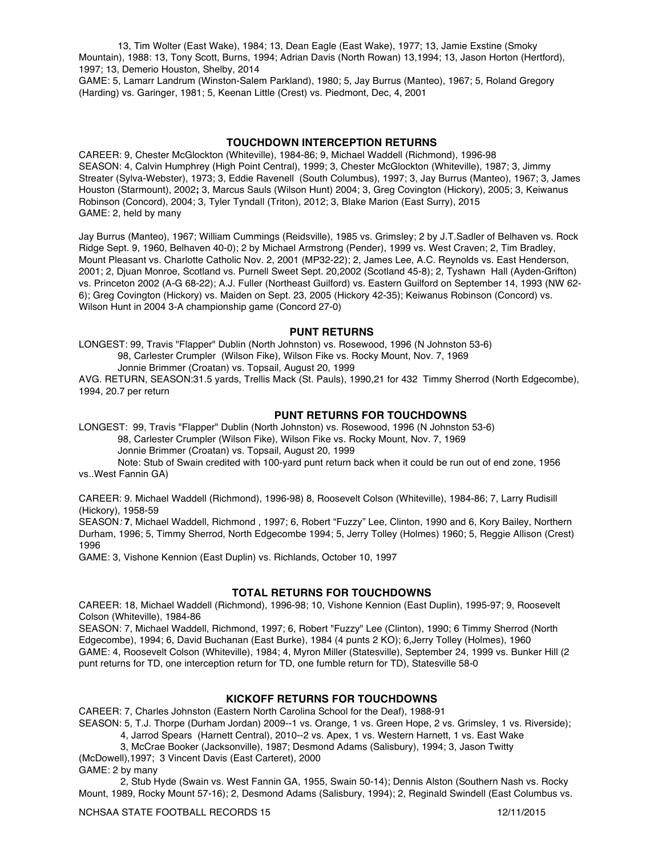13, Tim Wolter (East Wake), 1984; 13, Dean Eagle (East Wake), 1977; 13, Jamie Exstine (Smoky Mountain), 1988: 13, Tony Scott, Burns, 1994; Adrian Davis (North Rowan) 13,1994; 13, Jason Horton (Hertford), 1997; 13, Demerio Houston, Shelby, 2014

GAME: 5, Lamarr Landrum (Winston-Salem Parkland), 1980; 5, Jay Burrus (Manteo), 1967; 5, Roland Gregory (Harding) vs. Garinger, 1981; 5, Keenan Little (Crest) vs. Piedmont, Dec, 4, 2001

#### **TOUCHDOWN INTERCEPTION RETURNS**

CAREER: 9, Chester McGlockton (Whiteville), 1984-86; 9, Michael Waddell (Richmond), 1996-98 SEASON: 4, Calvin Humphrey (High Point Central), 1999; 3, Chester McGlockton (Whiteville), 1987; 3, Jimmy Streater (Sylva-Webster), 1973; 3, Eddie Ravenell (South Columbus), 1997; 3, Jay Burrus (Manteo), 1967; 3, James Houston (Starmount), 2002**;** 3, Marcus Sauls (Wilson Hunt) 2004; 3, Greg Covington (Hickory), 2005; 3, Keiwanus Robinson (Concord), 2004; 3, Tyler Tyndall (Triton), 2012; 3, Blake Marion (East Surry), 2015 GAME: 2, held by many

Jay Burrus (Manteo), 1967; William Cummings (Reidsville), 1985 vs. Grimsley; 2 by J.T.Sadler of Belhaven vs. Rock Ridge Sept. 9, 1960, Belhaven 40-0); 2 by Michael Armstrong (Pender), 1999 vs. West Craven; 2, Tim Bradley, Mount Pleasant vs. Charlotte Catholic Nov. 2, 2001 (MP32-22); 2, James Lee, A.C. Reynolds vs. East Henderson, 2001; 2, Djuan Monroe, Scotland vs. Purnell Sweet Sept. 20,2002 (Scotland 45-8); 2, Tyshawn Hall (Ayden-Grifton) vs. Princeton 2002 (A-G 68-22); A.J. Fuller (Northeast Guilford) vs. Eastern Guilford on September 14, 1993 (NW 62- 6); Greg Covington (Hickory) vs. Maiden on Sept. 23, 2005 (Hickory 42-35); Keiwanus Robinson (Concord) vs. Wilson Hunt in 2004 3-A championship game (Concord 27-0)

#### **PUNT RETURNS**

LONGEST: 99, Travis "Flapper" Dublin (North Johnston) vs. Rosewood, 1996 (N Johnston 53-6) 98, Carlester Crumpler (Wilson Fike), Wilson Fike vs. Rocky Mount, Nov. 7, 1969 Jonnie Brimmer (Croatan) vs. Topsail, August 20, 1999

AVG. RETURN, SEASON:31.5 yards, Trellis Mack (St. Pauls), 1990,21 for 432 Timmy Sherrod (North Edgecombe), 1994, 20.7 per return

#### **PUNT RETURNS FOR TOUCHDOWNS**

LONGEST: 99, Travis "Flapper" Dublin (North Johnston) vs. Rosewood, 1996 (N Johnston 53-6) 98, Carlester Crumpler (Wilson Fike), Wilson Fike vs. Rocky Mount, Nov. 7, 1969 Jonnie Brimmer (Croatan) vs. Topsail, August 20, 1999

Note: Stub of Swain credited with 100-yard punt return back when it could be run out of end zone, 1956 vs..West Fannin GA)

CAREER: 9. Michael Waddell (Richmond), 1996-98) 8, Roosevelt Colson (Whiteville), 1984-86; 7, Larry Rudisill (Hickory), 1958-59

SEASON*:* **7**, Michael Waddell, Richmond , 1997; 6, Robert "Fuzzy" Lee, Clinton, 1990 and 6, Kory Bailey, Northern Durham, 1996; 5, Timmy Sherrod, North Edgecombe 1994; 5, Jerry Tolley (Holmes) 1960; 5, Reggie Allison (Crest) 1996

GAME: 3, Vishone Kennion (East Duplin) vs. Richlands, October 10, 1997

#### **TOTAL RETURNS FOR TOUCHDOWNS**

CAREER: 18, Michael Waddell (Richmond), 1996-98; 10, Vishone Kennion (East Duplin), 1995-97; 9, Roosevelt Colson (Whiteville), 1984-86

SEASON: 7, Michael Waddell, Richmond, 1997; 6, Robert "Fuzzy" Lee (Clinton), 1990; 6 Timmy Sherrod (North Edgecombe), 1994; 6, David Buchanan (East Burke), 1984 (4 punts 2 KO); 6,Jerry Tolley (Holmes), 1960 GAME: 4, Roosevelt Colson (Whiteville), 1984; 4, Myron Miller (Statesville), September 24, 1999 vs. Bunker Hill (2 punt returns for TD, one interception return for TD, one fumble return for TD), Statesville 58-0

#### **KICKOFF RETURNS FOR TOUCHDOWNS**

CAREER: 7, Charles Johnston (Eastern North Carolina School for the Deaf), 1988-91

SEASON: 5, T.J. Thorpe (Durham Jordan) 2009--1 vs. Orange, 1 vs. Green Hope, 2 vs. Grimsley, 1 vs. Riverside);

4, Jarrod Spears (Harnett Central), 2010--2 vs. Apex, 1 vs. Western Harnett, 1 vs. East Wake

3, McCrae Booker (Jacksonville), 1987; Desmond Adams (Salisbury), 1994; 3, Jason Twitty

(McDowell),1997; 3 Vincent Davis (East Carteret), 2000 GAME: 2 by many

2, Stub Hyde (Swain vs. West Fannin GA, 1955, Swain 50-14); Dennis Alston (Southern Nash vs. Rocky Mount, 1989, Rocky Mount 57-16); 2, Desmond Adams (Salisbury, 1994); 2, Reginald Swindell (East Columbus vs.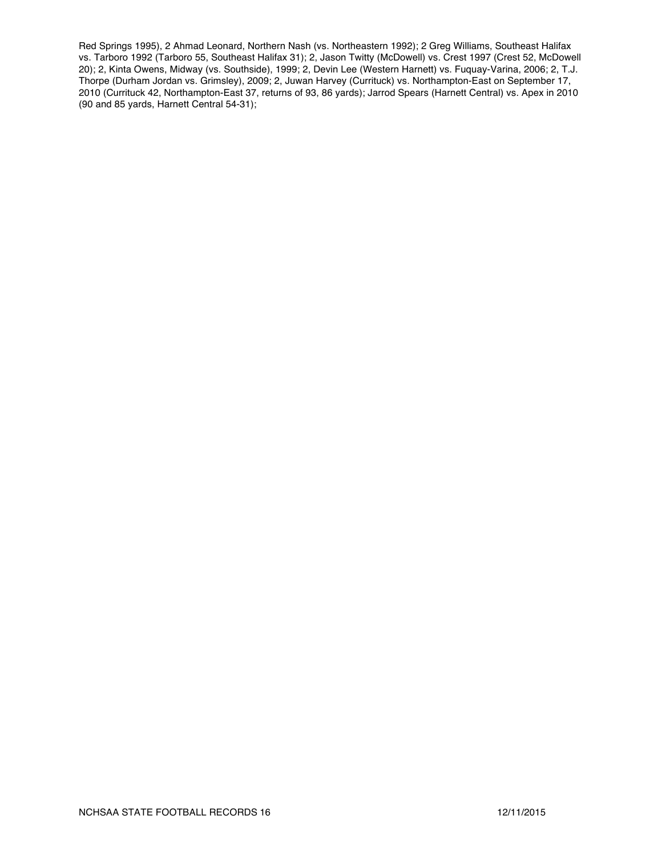Red Springs 1995), 2 Ahmad Leonard, Northern Nash (vs. Northeastern 1992); 2 Greg Williams, Southeast Halifax vs. Tarboro 1992 (Tarboro 55, Southeast Halifax 31); 2, Jason Twitty (McDowell) vs. Crest 1997 (Crest 52, McDowell 20); 2, Kinta Owens, Midway (vs. Southside), 1999; 2, Devin Lee (Western Harnett) vs. Fuquay-Varina, 2006; 2, T.J. Thorpe (Durham Jordan vs. Grimsley), 2009; 2, Juwan Harvey (Currituck) vs. Northampton-East on September 17, 2010 (Currituck 42, Northampton-East 37, returns of 93, 86 yards); Jarrod Spears (Harnett Central) vs. Apex in 2010 (90 and 85 yards, Harnett Central 54-31);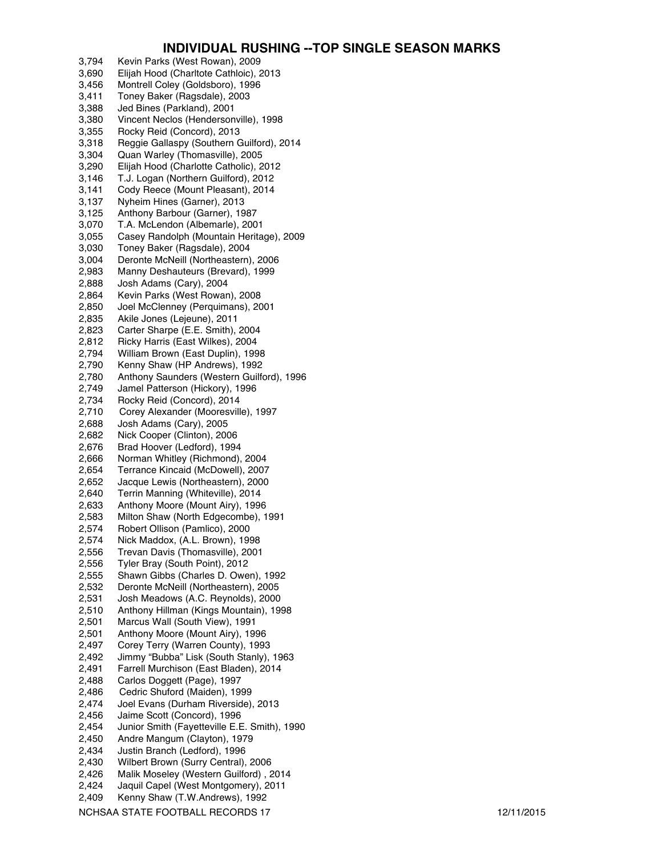### **INDIVIDUAL RUSHING --TOP SINGLE SEASON MARKS**

3,794 Kevin Parks (West Rowan), 2009 Elijah Hood (Charltote Cathloic), 2013 3,456 Montrell Coley (Goldsboro), 1996 3,411 Toney Baker (Ragsdale), 2003 3,388 Jed Bines (Parkland), 2001 3,380 Vincent Neclos (Hendersonville), 1998 3,355 Rocky Reid (Concord), 2013<br>3,318 Reggie Gallaspy (Southern 0 3,318 Reggie Gallaspy (Southern Guilford), 2014 3,304 Quan Warley (Thomasville), 2005 3,290 Elijah Hood (Charlotte Catholic), 2012 3,146 T.J. Logan (Northern Guilford), 2012 Cody Reece (Mount Pleasant), 2014 3,137 Nyheim Hines (Garner), 2013 3,125 Anthony Barbour (Garner), 1987 3,070 T.A. McLendon (Albemarle), 2001 3,055 Casey Randolph (Mountain Heritage), 2009 3,030 Toney Baker (Ragsdale), 2004 3,004 Deronte McNeill (Northeastern), 2006 2,983 Manny Deshauteurs (Brevard), 1999 2,888 Josh Adams (Cary), 2004 2,864 Kevin Parks (West Rowan), 2008 2,850 Joel McClenney (Perquimans), 2001 2,835 Akile Jones (Lejeune), 2011 2,823 Carter Sharpe (E.E. Smith), 2004 2,812 Ricky Harris (East Wilkes), 2004 2,794 William Brown (East Duplin), 1998 2,790 Kenny Shaw (HP Andrews), 1992 2,780 Anthony Saunders (Western Guilford), 1996 2,749 Jamel Patterson (Hickory), 1996 2,734 Rocky Reid (Concord), 2014 2,710 Corey Alexander (Mooresville), 1997<br>2,688 Josh Adams (Cary), 2005 2,688 Josh Adams (Cary), 2005 Nick Cooper (Clinton), 2006 2,676 Brad Hoover (Ledford), 1994 2,666 Norman Whitley (Richmond), 2004 2,654 Terrance Kincaid (McDowell), 2007 2,652 Jacque Lewis (Northeastern), 2000 2,640 Terrin Manning (Whiteville), 2014 2,633 Anthony Moore (Mount Airy), 1996 2,583 Milton Shaw (North Edgecombe), 1991 2,574 Robert Ollison (Pamlico), 2000<br>2,574 Nick Maddox, (A.L. Brown), 199 Nick Maddox, (A.L. Brown), 1998 2,556 Trevan Davis (Thomasville), 2001 2,556 Tyler Bray (South Point), 2012 2,555 Shawn Gibbs (Charles D. Owen), 1992 2,532 Deronte McNeill (Northeastern), 2005 2,531 Josh Meadows (A.C. Reynolds), 2000 2,510 Anthony Hillman (Kings Mountain), 1998 2,501 Marcus Wall (South View), 1991 2,501 Anthony Moore (Mount Airy), 1996 2,497 Corey Terry (Warren County), 1993 2,492 Jimmy "Bubba" Lisk (South Stanly), 1963 2,491 Farrell Murchison (East Bladen), 2014 2,488 Carlos Doggett (Page), 1997<br>2.486 Cedric Shuford (Maiden), 19 Cedric Shuford (Maiden), 1999 2,474 Joel Evans (Durham Riverside), 2013 2,456 Jaime Scott (Concord), 1996 2,454 Junior Smith (Fayetteville E.E. Smith), 1990 2,450 Andre Mangum (Clayton), 1979 2,434 Justin Branch (Ledford), 1996 2,430 Wilbert Brown (Surry Central), 2006 2,426 Malik Moseley (Western Guilford) , 2014 2,424 Jaquil Capel (West Montgomery), 2011 2,409 Kenny Shaw (T.W.Andrews), 1992

NCHSAA STATE FOOTBALL RECORDS 17 12/11/2015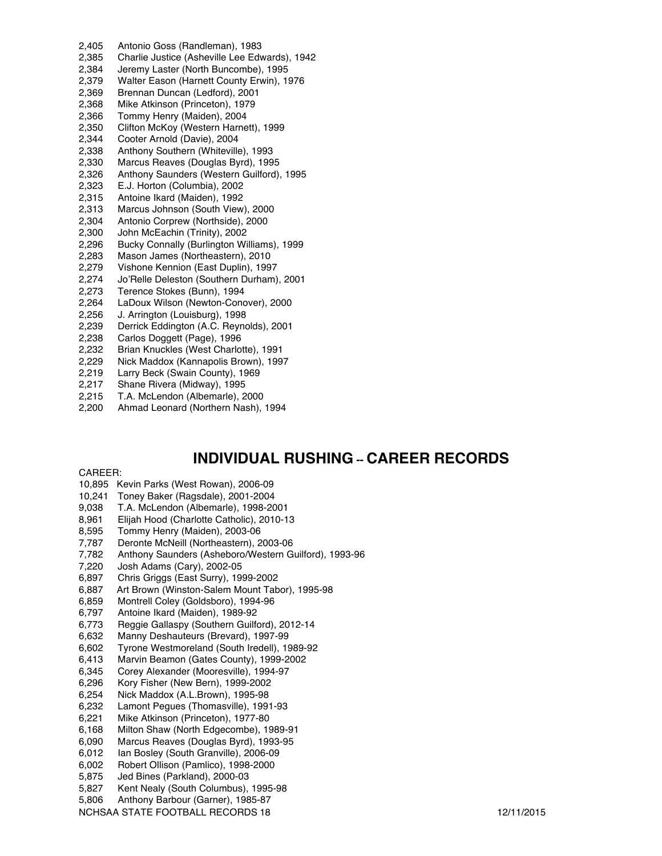- 2,405 Antonio Goss (Randleman), 1983 2,385 Charlie Justice (Asheville Lee Edwards), 1942 2,384 Jeremy Laster (North Buncombe), 1995 2,379 Walter Eason (Harnett County Erwin), 1976 2,369 Brennan Duncan (Ledford), 2001 2,368 Mike Atkinson (Princeton), 1979 2,366 Tommy Henry (Maiden), 2004 2,350 Clifton McKoy (Western Harnett), 1999 2,344 Cooter Arnold (Davie), 2004 2,338 Anthony Southern (Whiteville), 1993 2,330 Marcus Reaves (Douglas Byrd), 1995 2,326 Anthony Saunders (Western Guilford), 1995 2,323 E.J. Horton (Columbia), 2002 2,315 Antoine Ikard (Maiden), 1992 2,313 Marcus Johnson (South View), 2000 2,304 Antonio Corprew (Northside), 2000 2,300 John McEachin (Trinity), 2002 2,296 Bucky Connally (Burlington Williams), 1999 2,283 Mason James (Northeastern), 2010 2,279 Vishone Kennion (East Duplin), 1997 2,274 Jo'Relle Deleston (Southern Durham), 2001 2,273 Terence Stokes (Bunn), 1994 2,264 LaDoux Wilson (Newton-Conover), 2000 2,256 J. Arrington (Louisburg), 1998<br>2,239 Derrick Eddington (A.C. Reyno 2,239 Derrick Eddington (A.C. Reynolds), 2001<br>2,238 Carlos Doggett (Page), 1996 Carlos Doggett (Page), 1996 2,232 Brian Knuckles (West Charlotte), 1991 2,229 Nick Maddox (Kannapolis Brown), 1997 2,219 Larry Beck (Swain County), 1969 2,217 Shane Rivera (Midway), 1995
- 2,215 T.A. McLendon (Albemarle), 2000
- 2,200 Ahmad Leonard (Northern Nash), 1994

# **INDIVIDUAL RUSHING -- CAREER RECORDS**

#### CAREER:

- 10,895 Kevin Parks (West Rowan), 2006-09
- 10,241 Toney Baker (Ragsdale), 2001-2004
- 9,038 T.A. McLendon (Albemarle), 1998-2001
- 8,961 Elijah Hood (Charlotte Catholic), 2010-13
- 8,595 Tommy Henry (Maiden), 2003-06
- 7,787 Deronte McNeill (Northeastern), 2003-06
- 7,782 Anthony Saunders (Asheboro/Western Guilford), 1993-96
- 7,220 Josh Adams (Cary), 2002-05
- 6,897 Chris Griggs (East Surry), 1999-2002
- 6,887 Art Brown (Winston-Salem Mount Tabor), 1995-98
- 6,859 Montrell Coley (Goldsboro), 1994-96
- 6,797 Antoine Ikard (Maiden), 1989-92
- 6,773 Reggie Gallaspy (Southern Guilford), 2012-14
- 6,632 Manny Deshauteurs (Brevard), 1997-99
- 6,602 Tyrone Westmoreland (South Iredell), 1989-92
- 6,413 Marvin Beamon (Gates County), 1999-2002
- 6,345 Corey Alexander (Mooresville), 1994-97<br>6,296 Kory Fisher (New Bern), 1999-2002
- Kory Fisher (New Bern), 1999-2002
- 6,254 Nick Maddox (A.L.Brown), 1995-98
- 6,232 Lamont Pegues (Thomasville), 1991-93
- 6,221 Mike Atkinson (Princeton), 1977-80
- 6,168 Milton Shaw (North Edgecombe), 1989-91
- 6,090 Marcus Reaves (Douglas Byrd), 1993-95
- 6,012 Ian Bosley (South Granville), 2006-09
- 6,002 Robert Ollison (Pamlico), 1998-2000
- 5,875 Jed Bines (Parkland), 2000-03
- 5,827 Kent Nealy (South Columbus), 1995-98
- 5,806 Anthony Barbour (Garner), 1985-87
- NCHSAA STATE FOOTBALL RECORDS 18 12/11/2015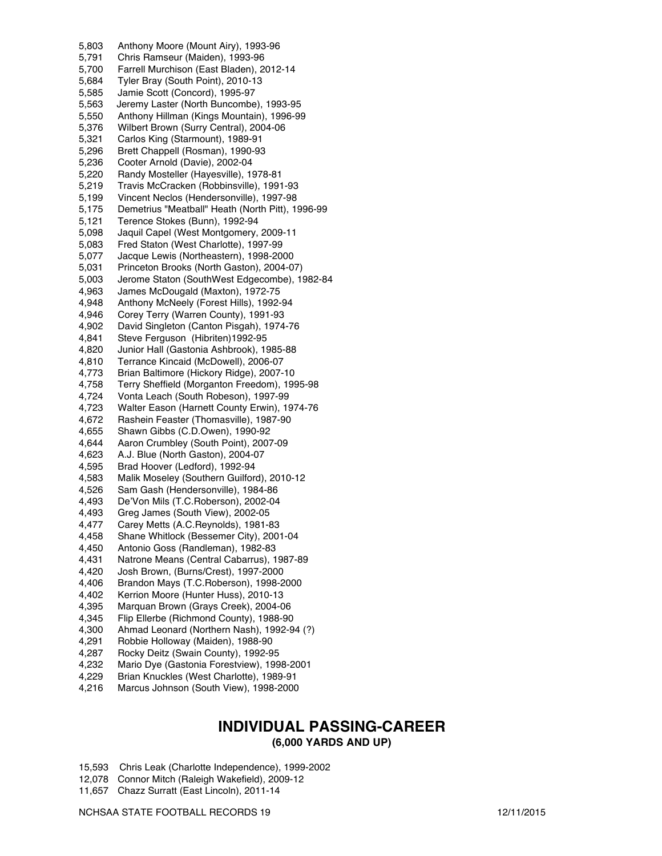5,803 Anthony Moore (Mount Airy), 1993-96 5,791 Chris Ramseur (Maiden), 1993-96 5,700 Farrell Murchison (East Bladen), 2012-14 5,684 Tyler Bray (South Point), 2010-13 5,585 Jamie Scott (Concord), 1995-97 5,563 Jeremy Laster (North Buncombe), 1993-95 5,550 Anthony Hillman (Kings Mountain), 1996-99 5,376 Wilbert Brown (Surry Central), 2004-06 5,321 Carlos King (Starmount), 1989-91 5,296 Brett Chappell (Rosman), 1990-93 5,236 Cooter Arnold (Davie), 2002-04 5,220 Randy Mosteller (Hayesville), 1978-81 5,219 Travis McCracken (Robbinsville), 1991-93 5,199 Vincent Neclos (Hendersonville), 1997-98 5,175 Demetrius "Meatball" Heath (North Pitt), 1996-99 5,121 Terence Stokes (Bunn), 1992-94 5,098 Jaquil Capel (West Montgomery, 2009-11 5,083 Fred Staton (West Charlotte), 1997-99 5,077 Jacque Lewis (Northeastern), 1998-2000 5,031 Princeton Brooks (North Gaston), 2004-07) 5,003 Jerome Staton (SouthWest Edgecombe), 1982-84 4,963 James McDougald (Maxton), 1972-75 Anthony McNeely (Forest Hills), 1992-94 4,946 Corey Terry (Warren County), 1991-93 David Singleton (Canton Pisgah), 1974-76 4,841 Steve Ferguson (Hibriten)1992-95 4,820 Junior Hall (Gastonia Ashbrook), 1985-88 4,810 Terrance Kincaid (McDowell), 2006-07 4,773 Brian Baltimore (Hickory Ridge), 2007-10 4,758 Terry Sheffield (Morganton Freedom), 1995-98 4,724 Vonta Leach (South Robeson), 1997-99 4,723 Walter Eason (Harnett County Erwin), 1974-76 4,672 Rashein Feaster (Thomasville), 1987-90 4,655 Shawn Gibbs (C.D.Owen), 1990-92 4,644 Aaron Crumbley (South Point), 2007-09 4,623 A.J. Blue (North Gaston), 2004-07 4,595 Brad Hoover (Ledford), 1992-94 4,583 Malik Moseley (Southern Guilford), 2010-12 4,526 Sam Gash (Hendersonville), 1984-86 4,493 De'Von Mils (T.C.Roberson), 2002-04 4,493 Greg James (South View), 2002-05 4,477 Carey Metts (A.C.Reynolds), 1981-83 4,458 Shane Whitlock (Bessemer City), 2001-04 4,450 Antonio Goss (Randleman), 1982-83 4,431 Natrone Means (Central Cabarrus), 1987-89 4,420 Josh Brown, (Burns/Crest), 1997-2000 4,406 Brandon Mays (T.C.Roberson), 1998-2000 4,402 Kerrion Moore (Hunter Huss), 2010-13 Marquan Brown (Grays Creek), 2004-06 4,345 Flip Ellerbe (Richmond County), 1988-90 Ahmad Leonard (Northern Nash), 1992-94 (?) 4,291 Robbie Holloway (Maiden), 1988-90 4,287 Rocky Deitz (Swain County), 1992-95 4,232 Mario Dye (Gastonia Forestview), 1998-2001 4,229 Brian Knuckles (West Charlotte), 1989-91

4,216 Marcus Johnson (South View), 1998-2000

# **INDIVIDUAL PASSING-CAREER**

**(6,000 YARDS AND UP)**

- 15,593 Chris Leak (Charlotte Independence), 1999-2002
- 12,078 Connor Mitch (Raleigh Wakefield), 2009-12
- 11,657 Chazz Surratt (East Lincoln), 2011-14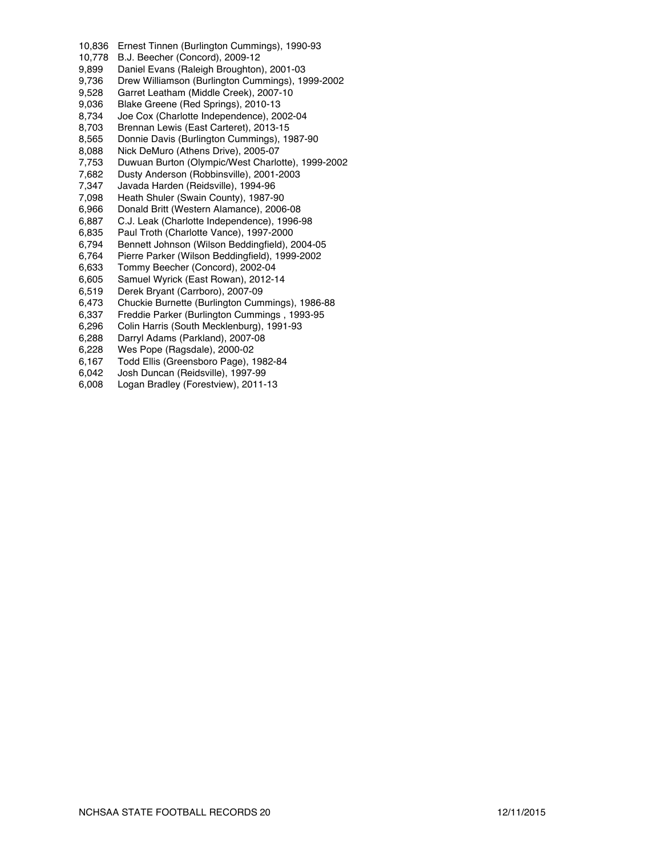- 10,836 Ernest Tinnen (Burlington Cummings), 1990-93
- 10,778 B.J. Beecher (Concord), 2009-12
- 9,899 Daniel Evans (Raleigh Broughton), 2001-03
- Drew Williamson (Burlington Cummings), 1999-2002
- 9,528 Garret Leatham (Middle Creek), 2007-10<br>9,036 Blake Greene (Red Springs), 2010-13
- 9,036 Blake Greene (Red Springs), 2010-13<br>8,734 Joe Cox (Charlotte Independence), 20
- Joe Cox (Charlotte Independence), 2002-04
- 8,703 Brennan Lewis (East Carteret), 2013-15
- 8,565 Donnie Davis (Burlington Cummings), 1987-90<br>8,088 Nick DeMuro (Athens Drive), 2005-07
- Nick DeMuro (Athens Drive), 2005-07
- 7,753 Duwuan Burton (Olympic/West Charlotte), 1999-2002
- 7,682 Dusty Anderson (Robbinsville), 2001-2003
- 7,347 Javada Harden (Reidsville), 1994-96
- Heath Shuler (Swain County), 1987-90
- 6,966 Donald Britt (Western Alamance), 2006-08
- 6,887 C.J. Leak (Charlotte Independence), 1996-98
- 6,835 Paul Troth (Charlotte Vance), 1997-2000
- 6,794 Bennett Johnson (Wilson Beddingfield), 2004-05
- 6,764 Pierre Parker (Wilson Beddingfield), 1999-2002
- 6,633 Tommy Beecher (Concord), 2002-04
- 6,605 Samuel Wyrick (East Rowan), 2012-14
- 6,519 Derek Bryant (Carrboro), 2007-09
- 6,473 Chuckie Burnette (Burlington Cummings), 1986-88
- 6,337 Freddie Parker (Burlington Cummings, 1993-95<br>6,296 Colin Harris (South Mecklenburg), 1991-93
- 6,296 Colin Harris (South Mecklenburg), 1991-93
- Darryl Adams (Parkland), 2007-08
- 6,228 Wes Pope (Ragsdale), 2000-02
- 6,167 Todd Ellis (Greensboro Page), 1982-84
- 6,042 Josh Duncan (Reidsville), 1997-99
- 6,008 Logan Bradley (Forestview), 2011-13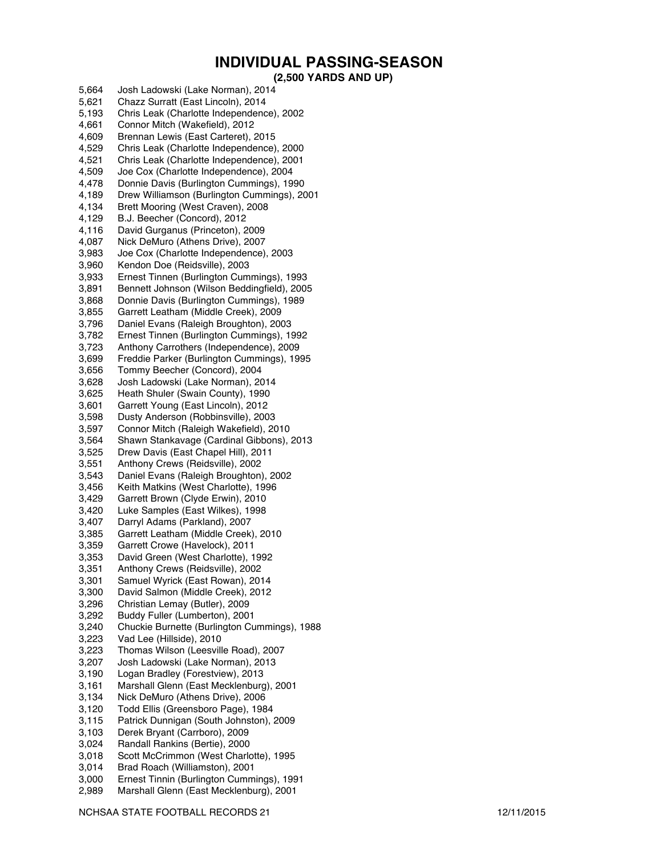# **INDIVIDUAL PASSING-SEASON**

#### **(2,500 YARDS AND UP)**

5,664 Josh Ladowski (Lake Norman), 2014 5,621 Chazz Surratt (East Lincoln), 2014 5,193 Chris Leak (Charlotte Independence), 2002 4,661 Connor Mitch (Wakefield), 2012 4,609 Brennan Lewis (East Carteret), 2015 4,529 Chris Leak (Charlotte Independence), 2000 4,521 Chris Leak (Charlotte Independence), 2001 4,509 Joe Cox (Charlotte Independence), 2004 4,478 Donnie Davis (Burlington Cummings), 1990 Drew Williamson (Burlington Cummings), 2001 4,134 Brett Mooring (West Craven), 2008 4,129 B.J. Beecher (Concord), 2012 4,116 David Gurganus (Princeton), 2009 4,087 Nick DeMuro (Athens Drive), 2007 3,983 Joe Cox (Charlotte Independence), 2003 3,960 Kendon Doe (Reidsville), 2003 3,933 Ernest Tinnen (Burlington Cummings), 1993 3,891 Bennett Johnson (Wilson Beddingfield), 2005 3,868 Donnie Davis (Burlington Cummings), 1989 3,855 Garrett Leatham (Middle Creek), 2009 3,796 Daniel Evans (Raleigh Broughton), 2003 3,782 Ernest Tinnen (Burlington Cummings), 1992 3,723 Anthony Carrothers (Independence), 2009 3,699 Freddie Parker (Burlington Cummings), 1995 3,656 Tommy Beecher (Concord), 2004 3,628 Josh Ladowski (Lake Norman), 2014 3,625 Heath Shuler (Swain County), 1990 3,601 Garrett Young (East Lincoln), 2012 3,598 Dusty Anderson (Robbinsville), 2003 3,597 Connor Mitch (Raleigh Wakefield), 2010 3,564 Shawn Stankavage (Cardinal Gibbons), 2013 Drew Davis (East Chapel Hill), 2011 3,551 Anthony Crews (Reidsville), 2002 3,543 Daniel Evans (Raleigh Broughton), 2002 3,456 Keith Matkins (West Charlotte), 1996 3,429 Garrett Brown (Clyde Erwin), 2010 3,420 Luke Samples (East Wilkes), 1998 3,407 Darryl Adams (Parkland), 2007 3,385 Garrett Leatham (Middle Creek), 2010 3,359 Garrett Crowe (Havelock), 2011 3,353 David Green (West Charlotte), 1992 3,351 Anthony Crews (Reidsville), 2002 3,301 Samuel Wyrick (East Rowan), 2014 3,300 David Salmon (Middle Creek), 2012 3,296 Christian Lemay (Butler), 2009 3,292 Buddy Fuller (Lumberton), 2001 3,240 Chuckie Burnette (Burlington Cummings), 1988 3,223 Vad Lee (Hillside), 2010 3,223 Thomas Wilson (Leesville Road), 2007 3,207 Josh Ladowski (Lake Norman), 2013 3,190 Logan Bradley (Forestview), 2013 3,161 Marshall Glenn (East Mecklenburg), 2001 3,134 Nick DeMuro (Athens Drive), 2006 Todd Ellis (Greensboro Page), 1984 3,115 Patrick Dunnigan (South Johnston), 2009 3,103 Derek Bryant (Carrboro), 2009 3,024 Randall Rankins (Bertie), 2000 3,018 Scott McCrimmon (West Charlotte), 1995 3,014 Brad Roach (Williamston), 2001 3,000 Ernest Tinnin (Burlington Cummings), 1991 2,989 Marshall Glenn (East Mecklenburg), 2001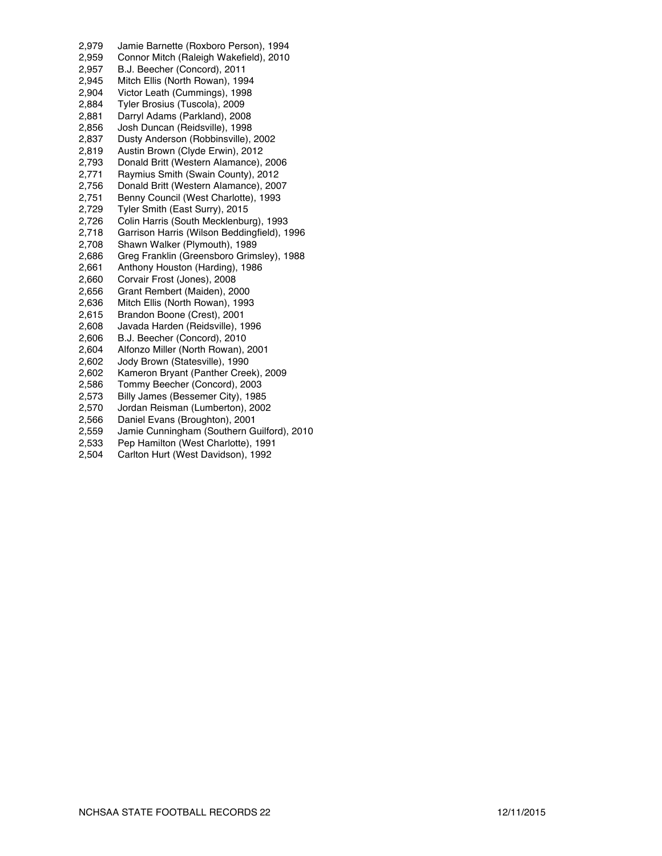2,979 Jamie Barnette (Roxboro Person), 1994 2,959 Connor Mitch (Raleigh Wakefield), 2010 2,957 B.J. Beecher (Concord), 2011 2,945 Mitch Ellis (North Rowan), 1994 2,904 Victor Leath (Cummings), 1998<br>2,884 Tyler Brosius (Tuscola), 2009 2,884 Tyler Brosius (Tuscola), 2009<br>2,881 Darryl Adams (Parkland), 200 Darryl Adams (Parkland), 2008 2,856 Josh Duncan (Reidsville), 1998 2,837 Dusty Anderson (Robbinsville), 2002 2,819 Austin Brown (Clyde Erwin), 2012 2,793 Donald Britt (Western Alamance), 2006 2,771 Raymius Smith (Swain County), 2012 2,756 Donald Britt (Western Alamance), 2007 2,751 Benny Council (West Charlotte), 1993 2,729 Tyler Smith (East Surry), 2015<br>2,726 Colin Harris (South Mecklenbu Colin Harris (South Mecklenburg), 1993 2,718 Garrison Harris (Wilson Beddingfield), 1996 2,708 Shawn Walker (Plymouth), 1989 2,686 Greg Franklin (Greensboro Grimsley), 1988 2,661 Anthony Houston (Harding), 1986 2,660 Corvair Frost (Jones), 2008 2,656 Grant Rembert (Maiden), 2000<br>2,636 Mitch Ellis (North Rowan), 1993 2,636 Mitch Ellis (North Rowan), 1993<br>2,615 Brandon Boone (Crest), 2001 2,615 Brandon Boone (Crest), 2001<br>2,608 Javada Harden (Reidsville), 1 2,608 Javada Harden (Reidsville), 1996<br>2,606 B.J. Beecher (Concord), 2010 B.J. Beecher (Concord), 2010 2,604 Alfonzo Miller (North Rowan), 2001 2,602 Jody Brown (Statesville), 1990 2,602 Kameron Bryant (Panther Creek), 2009 2,586 Tommy Beecher (Concord), 2003 2,573 Billy James (Bessemer City), 1985 2,570 Jordan Reisman (Lumberton), 2002 2,566 Daniel Evans (Broughton), 2001 2,559 Jamie Cunningham (Southern Guilford), 2010<br>2,533 Pep Hamilton (West Charlotte), 1991 Pep Hamilton (West Charlotte), 1991

2,504 Carlton Hurt (West Davidson), 1992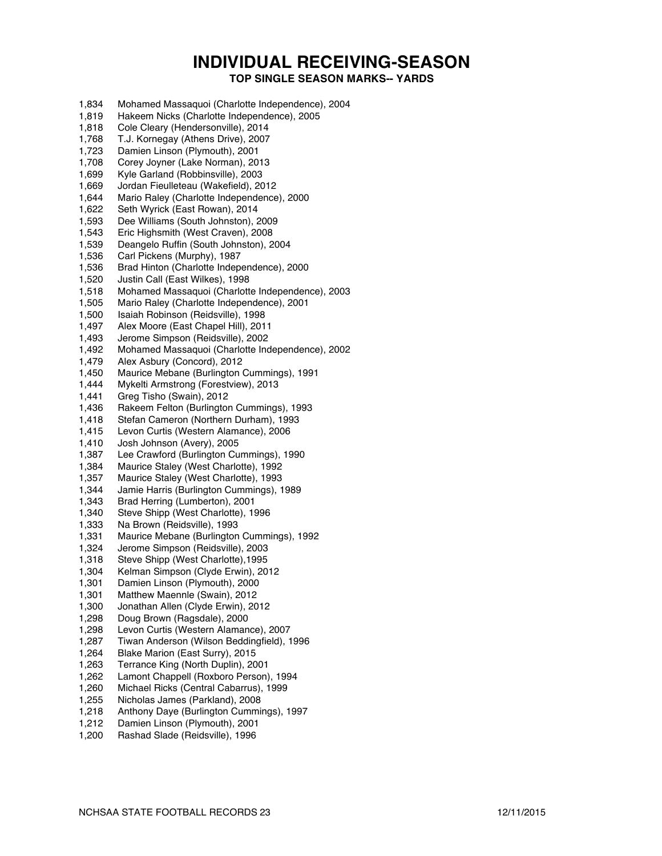# **INDIVIDUAL RECEIVING-SEASON**

**TOP SINGLE SEASON MARKS-- YARDS**

- 1,834 Mohamed Massaquoi (Charlotte Independence), 2004 1,819 Hakeem Nicks (Charlotte Independence), 2005 1,818 Cole Cleary (Hendersonville), 2014 1,768 T.J. Kornegay (Athens Drive), 2007 1,723 Damien Linson (Plymouth), 2001 1,708 Corey Joyner (Lake Norman), 2013 1,699 Kyle Garland (Robbinsville), 2003 1,669 Jordan Fieulleteau (Wakefield), 2012 1,644 Mario Raley (Charlotte Independence), 2000 1,622 Seth Wyrick (East Rowan), 2014 1,593 Dee Williams (South Johnston), 2009 1,543 Eric Highsmith (West Craven), 2008 1,539 Deangelo Ruffin (South Johnston), 2004 1,536 Carl Pickens (Murphy), 1987 1,536 Brad Hinton (Charlotte Independence), 2000 1,520 Justin Call (East Wilkes), 1998 1,518 Mohamed Massaquoi (Charlotte Independence), 2003 1,505 Mario Raley (Charlotte Independence), 2001 1,500 Isaiah Robinson (Reidsville), 1998<br>1,497 Alex Moore (East Chapel Hill), 201 1,497 Alex Moore (East Chapel Hill), 2011 Jerome Simpson (Reidsville), 2002 1,492 Mohamed Massaquoi (Charlotte Independence), 2002 1,479 Alex Asbury (Concord), 2012 1,450 Maurice Mebane (Burlington Cummings), 1991 1,444 Mykelti Armstrong (Forestview), 2013 1,441 Greg Tisho (Swain), 2012 1,436 Rakeem Felton (Burlington Cummings), 1993 1,418 Stefan Cameron (Northern Durham), 1993 1,415 Levon Curtis (Western Alamance), 2006 1,410 Josh Johnson (Avery), 2005 1,387 Lee Crawford (Burlington Cummings), 1990 1,384 Maurice Staley (West Charlotte), 1992 1,357 Maurice Staley (West Charlotte), 1993 1,344 Jamie Harris (Burlington Cummings), 1989 1,343 Brad Herring (Lumberton), 2001 1,340 Steve Shipp (West Charlotte), 1996 1,333 Na Brown (Reidsville), 1993 1,331 Maurice Mebane (Burlington Cummings), 1992 1,324 Jerome Simpson (Reidsville), 2003<br>1,318 Steve Shipp (West Charlotte), 1995 1,318 Steve Shipp (West Charlotte), 1995<br>1.304 Kelman Simpson (Clyde Erwin), 20 Kelman Simpson (Clyde Erwin), 2012 1,301 Damien Linson (Plymouth), 2000<br>1.301 Matthew Maennle (Swain), 2012 1,301 Matthew Maennle (Swain), 2012<br>1,300 Jonathan Allen (Clyde Erwin), 20 1,300 Jonathan Allen (Clyde Erwin), 2012 1,298 Doug Brown (Ragsdale), 2000 Levon Curtis (Western Alamance), 2007 1,287 Tiwan Anderson (Wilson Beddingfield), 1996 1,264 Blake Marion (East Surry), 2015 1,263 Terrance King (North Duplin), 2001 Lamont Chappell (Roxboro Person), 1994 1,260 Michael Ricks (Central Cabarrus), 1999 1,255 Nicholas James (Parkland), 2008 1,218 Anthony Daye (Burlington Cummings), 1997 1,212 Damien Linson (Plymouth), 2001
- 1,200 Rashad Slade (Reidsville), 1996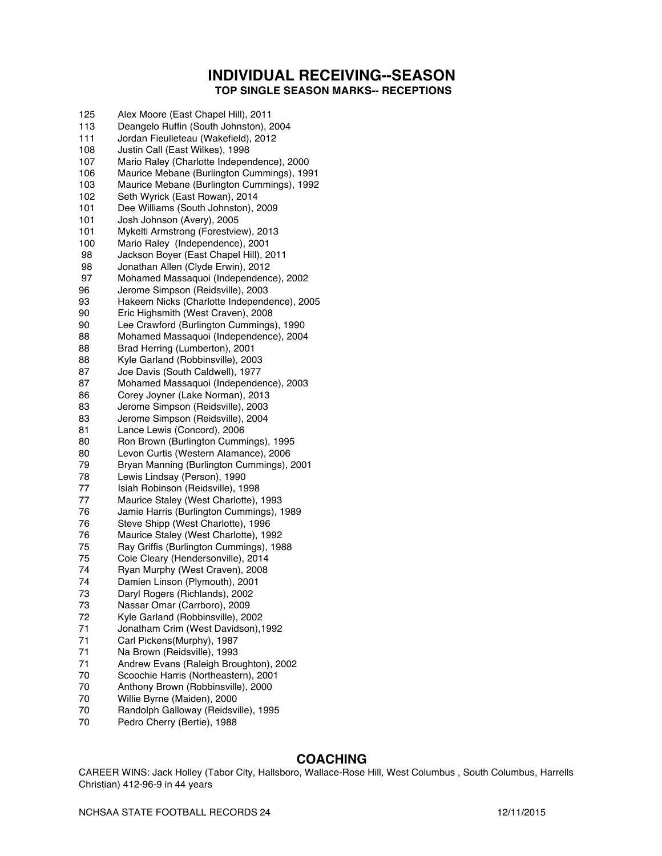## **INDIVIDUAL RECEIVING--SEASON TOP SINGLE SEASON MARKS-- RECEPTIONS**

| 125 | Alex Moore (East Chapel Hill), 2011         |
|-----|---------------------------------------------|
| 113 | Deangelo Ruffin (South Johnston), 2004      |
| 111 | Jordan Fieulleteau (Wakefield), 2012        |
| 108 | Justin Call (East Wilkes), 1998             |
| 107 | Mario Raley (Charlotte Independence), 2000  |
| 106 | Maurice Mebane (Burlington Cummings), 1991  |
| 103 | Maurice Mebane (Burlington Cummings), 1992  |
| 102 | Seth Wyrick (East Rowan), 2014              |
| 101 | Dee Williams (South Johnston), 2009         |
| 101 | Josh Johnson (Avery), 2005                  |
| 101 | Mykelti Armstrong (Forestview), 2013        |
| 100 | Mario Raley (Independence), 2001            |
| 98  | Jackson Boyer (East Chapel Hill), 2011      |
| 98  | Jonathan Allen (Clyde Erwin), 2012          |
| 97  |                                             |
|     | Mohamed Massaquoi (Independence), 2002      |
| 96  | Jerome Simpson (Reidsville), 2003           |
| 93  | Hakeem Nicks (Charlotte Independence), 2005 |
| 90  | Eric Highsmith (West Craven), 2008          |
| 90  | Lee Crawford (Burlington Cummings), 1990    |
| 88  | Mohamed Massaquoi (Independence), 2004      |
| 88  | Brad Herring (Lumberton), 2001              |
| 88  | Kyle Garland (Robbinsville), 2003           |
| 87  | Joe Davis (South Caldwell), 1977            |
| 87  | Mohamed Massaquoi (Independence), 2003      |
| 86  | Corey Joyner (Lake Norman), 2013            |
| 83  | Jerome Simpson (Reidsville), 2003           |
| 83  | Jerome Simpson (Reidsville), 2004           |
| 81  | Lance Lewis (Concord), 2006                 |
| 80  | Ron Brown (Burlington Cummings), 1995       |
| 80  | Levon Curtis (Western Alamance), 2006       |
| 79  | Bryan Manning (Burlington Cummings), 2001   |
| 78  | Lewis Lindsay (Person), 1990                |
| 77  | Isiah Robinson (Reidsville), 1998           |
| 77  | Maurice Staley (West Charlotte), 1993       |
| 76  | Jamie Harris (Burlington Cummings), 1989    |
| 76  | Steve Shipp (West Charlotte), 1996          |
| 76  | Maurice Staley (West Charlotte), 1992       |
| 75  | Ray Griffis (Burlington Cummings), 1988     |
| 75  | Cole Cleary (Hendersonville), 2014          |
| 74  | Ryan Murphy (West Craven), 2008             |
| 74  | Damien Linson (Plymouth), 2001              |
| 73  | Daryl Rogers (Richlands), 2002              |
| 73  | Nassar Omar (Carrboro), 2009                |
| 72  | Kyle Garland (Robbinsville), 2002           |
| 71  | Jonatham Crim (West Davidson), 1992         |
| 71  | Carl Pickens(Murphy), 1987                  |
| 71  | Na Brown (Reidsville), 1993                 |
| 71  | Andrew Evans (Raleigh Broughton), 2002      |
| 70  | Scoochie Harris (Northeastern), 2001        |
| 70  | Anthony Brown (Robbinsville), 2000          |
| 70  | Willie Byrne (Maiden), 2000                 |
| 70  | Randolph Galloway (Reidsville), 1995        |
| 70  | Dodro Charni (Dartia) 1000                  |

#### Pedro Cherry (Bertie), 1988

# **COACHING**

CAREER WINS: Jack Holley (Tabor City, Hallsboro, Wallace-Rose Hill, West Columbus , South Columbus, Harrells Christian) 412-96-9 in 44 years